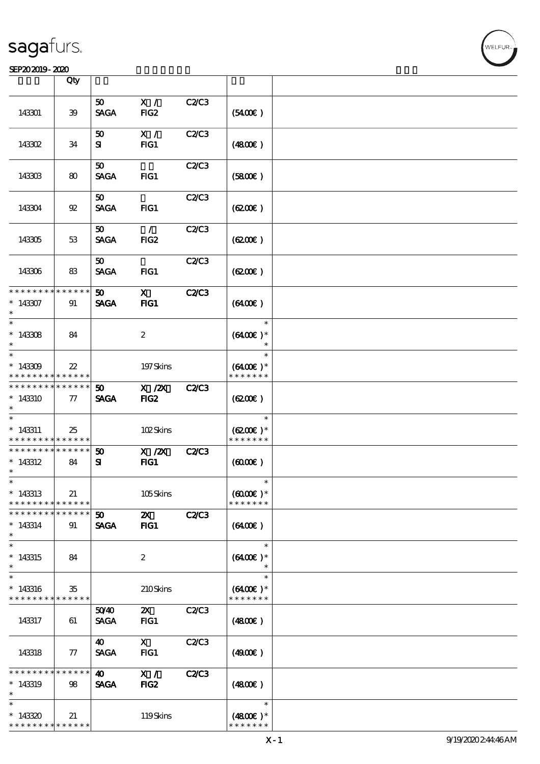### SEP202019-2020

|                               | Qty               |                       |                           |              |                             |  |
|-------------------------------|-------------------|-----------------------|---------------------------|--------------|-----------------------------|--|
|                               |                   |                       |                           |              |                             |  |
| 143301                        | 39                | 50<br><b>SAGA</b>     | X /<br>FIG <sub>2</sub>   | C2/C3        | (5400)                      |  |
|                               |                   |                       |                           |              |                             |  |
| 143302                        | 34                | 50<br>${\bf s}$       | X /<br>$HG1$              | C2/C3        | (4800)                      |  |
|                               |                   |                       |                           |              |                             |  |
| 143303                        | 80                | 50<br><b>SAGA</b>     | $FIG1$                    | C2/C3        | (5800)                      |  |
|                               |                   |                       |                           |              |                             |  |
| 143304                        | $92\,$            | 50<br><b>SAGA</b>     | FG1                       | C2C3         | (6200)                      |  |
|                               |                   | 50                    | $\mathcal{L}$             | <b>C2/C3</b> |                             |  |
| 143305                        | 53                | <b>SAGA</b>           | FIG2                      |              | (6200)                      |  |
|                               |                   | 50                    |                           | C2C3         |                             |  |
| 143306                        | 83                | <b>SAGA</b>           | $HG1$                     |              | (6200)                      |  |
| * * * * * * *                 | *****             | 50 <sub>o</sub>       | $\mathbf{x}$              | <b>C2/C3</b> |                             |  |
| $*143307$<br>$\ast$           | 91                | <b>SAGA</b>           | $HG1$                     |              | (6400)                      |  |
| $\ast$                        |                   |                       |                           |              | $\ast$                      |  |
| $*143308$                     | 84                |                       | $\boldsymbol{z}$          |              | $(6400E)*$                  |  |
| $\ast$                        |                   |                       |                           |              |                             |  |
| $\ast$                        |                   |                       |                           |              | $\ast$                      |  |
| $*143309$                     | $22\,$            |                       | 197Skins                  |              | $(6400)$ *                  |  |
| * * * * * * * *               | * * * * * *       |                       |                           |              | * * * * * * *               |  |
| * * * * * * * *               | * * * * * *       | 50                    | $X$ / $ZX$                | <b>C2/C3</b> |                             |  |
| $*143310$                     | $\tau$            | <b>SAGA</b>           | FIG <sub>2</sub>          |              | (6200)                      |  |
| $\ast$                        |                   |                       |                           |              |                             |  |
| $\ast$                        |                   |                       |                           |              | $\ast$                      |  |
| $* 143311$<br>* * * * * * * * | 25<br>* * * * * * |                       | 102Skins                  |              | $(6200)$ *<br>* * * * * * * |  |
| * * * * * * * *               | * * * * * *       |                       |                           |              |                             |  |
| $*143312$                     |                   | 50                    | $X$ / $ZX$                | <b>C2/C3</b> |                             |  |
| $\ast$                        | 84                | ${\bf s}$             | $HG1$                     |              | $(6000\varepsilon)$         |  |
| $\ast$                        |                   |                       |                           |              |                             |  |
| $*143313$                     | 21                |                       | 105Skins                  |              | $(6000\varepsilon)*$        |  |
| * * * * * * * *               | * * * * * *       |                       |                           |              | * * * * * * *               |  |
| * * * * * * * *               | * * * * * *       | 50 <sub>o</sub>       | $\boldsymbol{\mathsf{Z}}$ | <b>C2/C3</b> |                             |  |
| $*143314$                     | 91                | <b>SAGA</b>           | $HG1$                     |              | (6400)                      |  |
| $\ast$                        |                   |                       |                           |              |                             |  |
| $\ast$                        |                   |                       |                           |              | $\ast$                      |  |
| $*143315$                     | 84                |                       | $\boldsymbol{2}$          |              | $(6400)$ *                  |  |
| $\ast$                        |                   |                       |                           |              | $\ast$                      |  |
| $\ast$                        |                   |                       |                           |              | $\ast$                      |  |
| $*143316$                     | 35                |                       | 210Skins                  |              | $(6400)$ *                  |  |
| * * * * * * * *               | * * * * * *       |                       |                           |              | * * * * * * *               |  |
|                               |                   | 5040                  | $\mathbf{x}$              | C2C3         |                             |  |
| 143317                        | 61                | <b>SAGA</b>           | FG1                       |              | (4800)                      |  |
|                               |                   | $\boldsymbol{\omega}$ | $\mathbf{x}$              | C2/C3        |                             |  |
| 143318                        | 77                | <b>SAGA</b>           | FG1                       |              | (4900)                      |  |
|                               |                   |                       |                           |              |                             |  |
| * * * * * * *                 | * * * * * *       | 40                    | X /                       | <b>C2/C3</b> |                             |  |
| $*143319$                     | 98                | <b>SAGA</b>           | FIG <sub>2</sub>          |              | (4800)                      |  |
| $\ast$                        |                   |                       |                           |              |                             |  |
| $\ast$                        |                   |                       |                           |              | $\ast$                      |  |
| $*143320$                     | 21                |                       | 119Skins                  |              | $(4800)$ *                  |  |
| * * * * * * * *               | * * * * * *       |                       |                           |              | * * * * * * *               |  |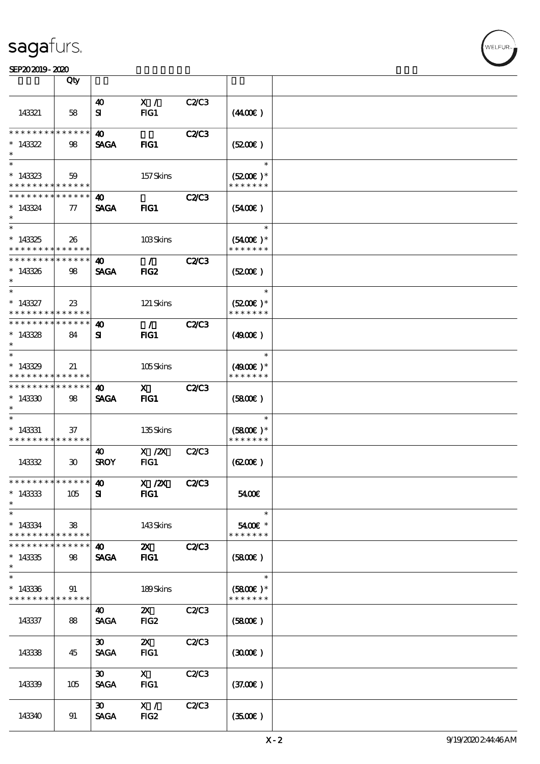### SEP202019-2020

|                                                       | Qty                         |                              |                           |              |                             |  |
|-------------------------------------------------------|-----------------------------|------------------------------|---------------------------|--------------|-----------------------------|--|
|                                                       |                             | 40                           | X /                       | C2C3         |                             |  |
| 143321                                                | 58                          | ${\bf s}$                    | FG1                       |              | (440E)                      |  |
| * * * * * * * *                                       | * * * * * *                 | $\boldsymbol{\omega}$        |                           | <b>C2/C3</b> |                             |  |
| $*143322$                                             | 98                          | <b>SAGA</b>                  | $HG1$                     |              | (520)                       |  |
| $*$                                                   |                             |                              |                           |              | $\ast$                      |  |
| $*143323$<br>* * * * * * * *                          | 59<br>******                |                              | 157Skins                  |              | $(5200)$ *<br>* * * * * * * |  |
| * * * * * * * *                                       | * * * * * *                 | 40                           |                           | <b>C2/C3</b> |                             |  |
| $*143324$<br>$\ast$                                   | $\tau$                      | <b>SAGA</b>                  | $HG1$                     |              | $(5400\varepsilon)$         |  |
|                                                       |                             |                              |                           |              | $\ast$                      |  |
| $*143325$<br>* * * * * * * * * * * * * * *            | 26                          |                              | 103Skins                  |              | $(5400)$ *<br>* * * * * * * |  |
| __<br>* * * * * * * * * * * * * * *                   |                             | 40                           | $\mathcal{L}$             | <b>C2/C3</b> |                             |  |
| $*143326$<br>$\ast$                                   | 98                          | <b>SAGA</b>                  | FIG <sub>2</sub>          |              | (5200)                      |  |
| $\ast$                                                |                             |                              |                           |              | $\ast$                      |  |
| $* 143327$<br>* * * * * * * *                         | $23\,$<br>* * * * * *       |                              | 121 Skins                 |              | $(5200)$ *<br>* * * * * * * |  |
| * * * * * * * * <mark>* * * * * *</mark>              |                             | 40                           | $\mathcal{L}$             | <b>C2/C3</b> |                             |  |
| $*143328$                                             | 84                          | Я                            | FIG1                      |              | (4900)                      |  |
| $*$                                                   |                             |                              |                           |              | $\ast$                      |  |
| $*143329$<br>* * * * * * * * <mark>* * * * * *</mark> | 21                          |                              | 105Skins                  |              | $(4900)$ *<br>* * * * * * * |  |
| * * * * * * * *                                       | ******                      | 40                           | $\mathbf{x}$              | <b>C2/C3</b> |                             |  |
| $*143330$<br>$\ast$                                   | 98                          | <b>SAGA</b>                  | FIG1                      |              | (5800)                      |  |
| $\ast$                                                |                             |                              |                           |              | $\ast$                      |  |
| $*143331$<br>* * * * * * * * * * * * * *              | 37                          |                              | 135Skins                  |              | $(5800)$ *<br>* * * * * * * |  |
|                                                       |                             | 40                           | $X$ / $ZX$                | C2C3         |                             |  |
| 143332                                                | $\boldsymbol{\mathfrak{D}}$ | <b>SROY</b>                  | FG1                       |              | (620)                       |  |
| * * * * * * * * * * * * * * *                         |                             | $\boldsymbol{\omega}$        | $X$ / $ZX$                | <b>C2/C3</b> |                             |  |
| $*143333$<br>$\ast$                                   | 105                         | ${\bf s}$                    | FIG1                      |              | 5400€                       |  |
| $\ast$                                                |                             |                              |                           |              | $\ast$                      |  |
| $*143334$<br>* * * * * * * *                          | 38<br>******                |                              | 143Skins                  |              | 5400€ *<br>* * * * * * *    |  |
| * * * * * * * *                                       | * * * * * *                 | 40                           | $\mathbf{x}$              | <b>C2/C3</b> |                             |  |
| $*143335$<br>$\ast$                                   | 98                          | <b>SAGA</b>                  | $HG1$                     |              | (5800)                      |  |
| $\ast$                                                |                             |                              |                           |              | $\ast$                      |  |
| $*143336$<br>* * * * * * * *                          | 91<br>* * * * * *           |                              | 189Skins                  |              | $(5800)$ *<br>* * * * * * * |  |
|                                                       |                             | 40                           | $\mathbf{x}$              | C2C3         |                             |  |
| 143337                                                | 88                          | <b>SAGA</b>                  | FIG <sub>2</sub>          |              | (5800)                      |  |
|                                                       |                             | 30 <sub>o</sub>              | $\boldsymbol{\mathsf{Z}}$ | C2C3         |                             |  |
| 143338                                                | 45                          | <b>SAGA</b>                  | FG1                       |              | (300)                       |  |
|                                                       |                             | $\boldsymbol{\mathfrak{D}}$  | $\mathbf{X}$              | C2/C3        |                             |  |
| 143339                                                | 105                         | <b>SAGA</b>                  | $HG1$                     |              | (37.00)                     |  |
|                                                       |                             | $\boldsymbol{\mathfrak{D}}$  | X /                       | C2C3         |                             |  |
| 143340                                                | 91                          | $\ensuremath{\mathsf{SAGA}}$ | FIG <sub>2</sub>          |              | (3500)                      |  |

**NELFUR**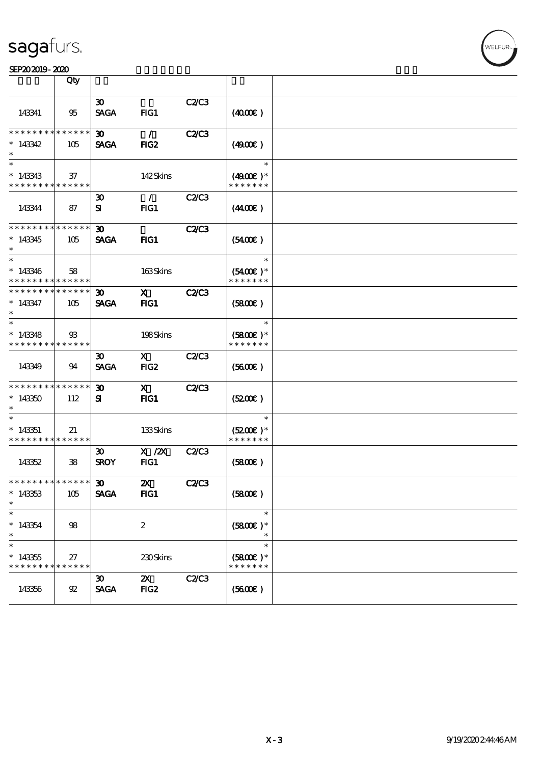### SEP202019-2020

|                                                      | Qty            |                                            |                                   |              |                                       |  |
|------------------------------------------------------|----------------|--------------------------------------------|-----------------------------------|--------------|---------------------------------------|--|
| 143341                                               | 95             | $\boldsymbol{\mathfrak{D}}$<br><b>SAGA</b> | FG1                               | C2/C3        | (400E)                                |  |
| * * * * * * * * * * * * * *<br>$*143342$             | 105            | $30-1$<br><b>SAGA</b>                      | $\mathcal{L}$<br>FIG <sub>2</sub> | <b>C2/C3</b> | (4900)                                |  |
| $\ast$<br>$*143343$<br>* * * * * * * * * * * * * *   | 37             |                                            | 142Skins                          |              | $\ast$<br>$(4900)$ *<br>* * * * * * * |  |
| 143344                                               | 87             | $\boldsymbol{\mathfrak{D}}$<br>${\bf s}$   | $\mathcal{L}$<br>FG1              | <b>C2/C3</b> | (440E)                                |  |
| * * * * * * * * * * * * * *<br>$*143345$<br>$\ast$   | 105            | $\boldsymbol{\mathfrak{D}}$<br><b>SAGA</b> | FIG1                              | <b>C2/C3</b> | (5400)                                |  |
| $\ast$<br>$*143346$<br>* * * * * * * * * * * * * *   | 58             |                                            | 163Skins                          |              | $\ast$<br>$(5400)$ *<br>* * * * * * * |  |
| * * * * * * * * * * * * * *<br>$* 143347$<br>$\ast$  | 105            | $\boldsymbol{\mathfrak{D}}$<br><b>SAGA</b> | $\mathbf{x}$<br>FIG1              | <b>C2/C3</b> | (5800)                                |  |
| $\ast$<br>$*143348$<br>* * * * * * * * * * * * * *   | $\mathfrak{B}$ |                                            | 198Skins                          |              | $\ast$<br>$(5800)$ *<br>* * * * * * * |  |
| 143349                                               | 94             | $\boldsymbol{\mathfrak{D}}$<br><b>SAGA</b> | $\mathbf{X}$<br>FIG <sub>2</sub>  | <b>C2/C3</b> | (5600)                                |  |
| * * * * * * * * * * * * * *<br>$*143350$             | 112            | $\boldsymbol{\mathfrak{D}}$<br>${\bf s}$   | $\mathbf{x}$<br>$HG1$             | <b>C2/C3</b> | (5200)                                |  |
| $*143351$<br>* * * * * * * * * * * * * *             | 21             |                                            | 133Skins                          |              | $\ast$<br>$(5200)$ *<br>* * * * * * * |  |
| 143352                                               | $\mathbf{38}$  | $\boldsymbol{\mathfrak{D}}$<br><b>SROY</b> | $X$ / $ZX$<br>FG1                 | C2C3         | (5800)                                |  |
| * * * * * * * * * * * * * * *<br>$*143353$<br>$\ast$ | 105            | $\mathbf{E}$<br><b>SAGA</b>                | $\boldsymbol{\mathsf{Z}}$<br>FIG1 | <b>C2/C3</b> | (5800)                                |  |
| $\ast$<br>$* 143354$<br>$\ast$                       | 98             |                                            | $\boldsymbol{z}$                  |              | $\ast$<br>$(5800)$ *<br>$\ast$        |  |
| $\ast$<br>$*143355$<br>* * * * * * * * * * * * * *   | 27             |                                            | 230Skins                          |              | $\ast$<br>$(5800)$ *<br>* * * * * * * |  |
| 143356                                               | 92             | $\boldsymbol{\mathfrak{D}}$<br><b>SAGA</b> | $\mathbf{X}$<br>FIG <sub>2</sub>  | C2/C3        | (5600)                                |  |

**VELFUR**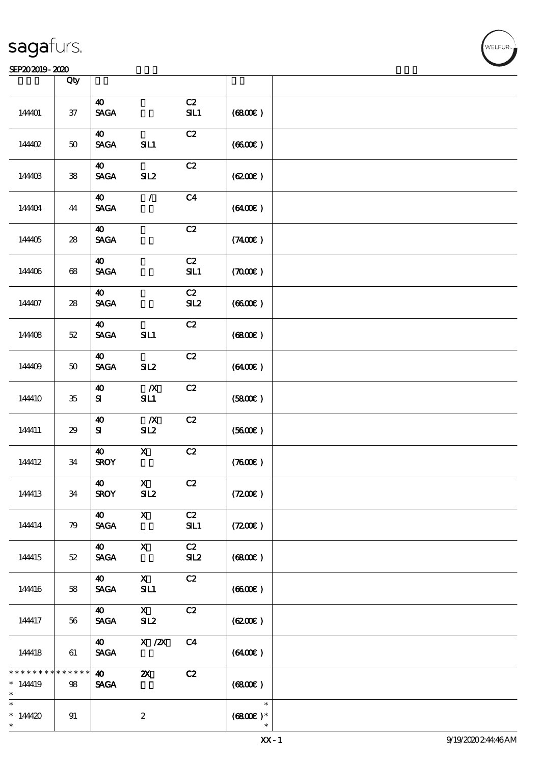### SEP202019-2020

|                                   | Qty                    |                                                         |                           |                |                                |  |
|-----------------------------------|------------------------|---------------------------------------------------------|---------------------------|----------------|--------------------------------|--|
| 144401                            | $37\,$                 | $\boldsymbol{\omega}$<br>$\operatorname{\mathsf{SAGA}}$ |                           | C2<br>SL1      | (6800)                         |  |
| 14402                             | $5\!\mathrm{O}$        | $\boldsymbol{\omega}$<br><b>SAGA</b>                    | SIL1                      | C2             | (660)                          |  |
| 144403                            | ${\bf 38}$             | $\boldsymbol{\omega}$<br>$\operatorname{\mathsf{SAGA}}$ | SL2                       | C2             | (6200)                         |  |
| 144404                            | 44                     | $\boldsymbol{\omega}$<br><b>SAGA</b>                    | $\mathcal{L}$             | C <sub>4</sub> | (6400)                         |  |
| 144405                            | ${\bf 28}$             | $\boldsymbol{\omega}$<br><b>SAGA</b>                    |                           | C2             | (7400)                         |  |
| 144406                            | $68\,$                 | $\boldsymbol{\omega}$<br><b>SAGA</b>                    |                           | C2<br>SL1      | (7000)                         |  |
| 144407                            | ${\bf 28}$             | $\boldsymbol{\omega}$<br><b>SAGA</b>                    |                           | C2<br>SL2      | (6600)                         |  |
| 144408                            | $5\!2$                 | $\boldsymbol{\omega}$<br>$\ensuremath{\mathsf{SAGA}}$   | SL1                       | C2             | (6800)                         |  |
| 144409                            | $5\!\mathrm{O}$        | $\boldsymbol{\omega}$<br>$\operatorname{\mathsf{SAGA}}$ | SL2                       | C2             | (6400)                         |  |
| 144410                            | ${\bf 35}$             | $\boldsymbol{\omega}$<br>${\bf s}$                      | $\boldsymbol{X}$<br>SL1   | C2             | (5800)                         |  |
| 144411                            | $29\,$                 | $\boldsymbol{\Lambda}$<br>${\bf S}$                     | $\boldsymbol{X}$<br>SL2   | C2             | (5600)                         |  |
| 144412                            | 34                     | $\boldsymbol{\Lambda}$<br><b>SROY</b>                   | $\mathbf X$               | C2             | (7600)                         |  |
| 144413                            | $3\!4$                 | $\boldsymbol{\omega}$<br><b>SROY</b>                    | $\mathbf{X}$<br>SL2       | C2             | (7200)                         |  |
| 144414                            | 79                     | 40<br>$\operatorname{\mathsf{SAGA}}$                    | $\boldsymbol{\mathsf{X}}$ | C2<br>SL1      | (7200)                         |  |
| 144415                            | $52\,$                 | $\boldsymbol{\omega}$<br><b>SAGA</b>                    | $\mathbf X$               | C2<br>SL2      | (6800)                         |  |
| 144416                            | 58                     | $\boldsymbol{\omega}$<br><b>SAGA</b>                    | $\mathbf{X}$<br>SL1       | C2             | (6600)                         |  |
| 144417                            | 56                     | 40<br><b>SAGA</b>                                       | $\mathbf{X}$<br>SL2       | C2             | (6200)                         |  |
| 144418                            | 61                     | $\boldsymbol{\omega}$<br><b>SAGA</b>                    | $X$ / $ZX$                | C <sub>4</sub> | (6400)                         |  |
| * * * * * *<br>* 144419<br>$\ast$ | * * * * *<br>*<br>$98$ | $\boldsymbol{\omega}$<br><b>SAGA</b>                    | $\boldsymbol{\mathsf{z}}$ | C2             | (6800)                         |  |
| $\ast$<br>$*144420$<br>$\ast$     | 91                     |                                                         | $\boldsymbol{2}$          |                | $\ast$<br>$(6800)$ *<br>$\ast$ |  |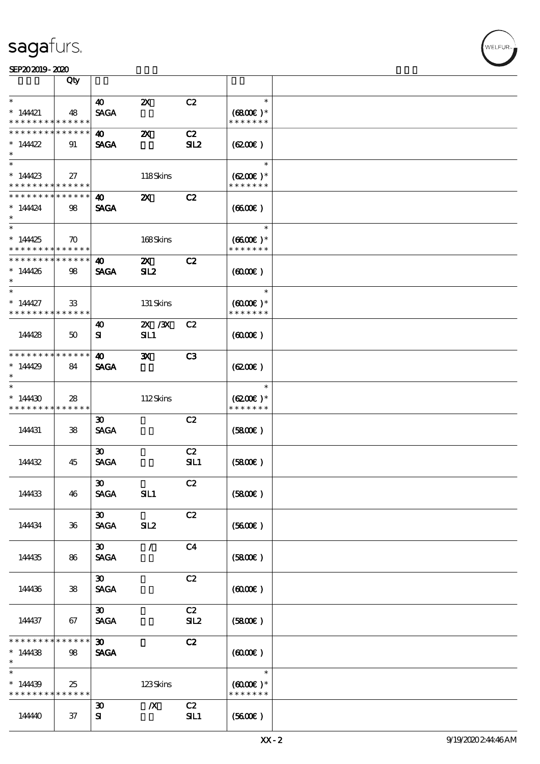### SEP202019-2020

|                                                      | Qty                        |                             |                           |                       |                                       |  |
|------------------------------------------------------|----------------------------|-----------------------------|---------------------------|-----------------------|---------------------------------------|--|
| $\ast$                                               |                            | $\boldsymbol{\omega}$       | $\boldsymbol{\mathsf{Z}}$ | C2                    | $\ast$                                |  |
| $*14421$                                             | 48                         | <b>SAGA</b>                 |                           |                       | $(6800)$ *<br>* * * * * * *           |  |
| * * * * * * * *                                      | * * * * * *<br>* * * * * * |                             |                           |                       |                                       |  |
| * * * * * * * *<br>* $14422$                         | 91                         | 40<br><b>SAGA</b>           | $\boldsymbol{\mathsf{z}}$ | C2<br>SL <sub>2</sub> | (620)                                 |  |
|                                                      |                            |                             |                           |                       |                                       |  |
| $\ast$                                               |                            |                             |                           |                       | $\ast$                                |  |
| $*14423$<br>* * * * * * * * <mark>* * * * * *</mark> | 27                         |                             | 118Skins                  |                       | $(6200)$ *<br>* * * * * * *           |  |
| * * * * * * * *                                      | * * * * * *                | 40                          | $\boldsymbol{\mathsf{z}}$ | C2                    |                                       |  |
| * 14424<br>$\ast$                                    | 98                         | <b>SAGA</b>                 |                           |                       | (6600)                                |  |
| $\overline{\ast}$                                    |                            |                             |                           |                       | $\ast$                                |  |
| $*14425$<br>* * * * * * * * <mark>* * * * * *</mark> | $\boldsymbol{\pi}$         |                             | 168Skins                  |                       | $(6600E)*$<br>* * * * * * *           |  |
| * * * * * * * * <mark>* * * * * *</mark>             |                            | 40                          | $\boldsymbol{\mathsf{X}}$ | C2                    |                                       |  |
| $*144426$<br>$\ast$                                  | 98                         | <b>SAGA</b>                 | SL2                       |                       | (6000)                                |  |
| $\ast$                                               |                            |                             |                           |                       | $\ast$                                |  |
| $*14427$<br>* * * * * * * *                          | 33<br>******               |                             | 131 Skins                 |                       | $(6000\varepsilon)*$<br>* * * * * * * |  |
|                                                      |                            | 40                          | 2X / 3X                   | C2                    |                                       |  |
| 144428                                               | 50                         | ${\bf s}$                   | <b>SIL1</b>               |                       | $(6000\varepsilon)$                   |  |
| * * * * * * * *                                      | * * * * * *                | 40                          | $\mathbf{x}$              | C3                    |                                       |  |
| * $14429$<br>$\ast$                                  | 84                         | <b>SAGA</b>                 |                           |                       | (6200)                                |  |
| $\ast$                                               |                            |                             |                           |                       | $\ast$                                |  |
| $*14430$<br>* * * * * * * *                          | 28<br>* * * * * *          |                             | 112Skins                  |                       | $(6200)$ *<br>* * * * * * *           |  |
|                                                      |                            | $\boldsymbol{\mathfrak{D}}$ |                           | C2                    |                                       |  |
| 144431                                               | 38                         | <b>SAGA</b>                 |                           |                       | (5800)                                |  |
|                                                      |                            | $\boldsymbol{\mathfrak{D}}$ |                           | C2                    |                                       |  |
| 14432                                                | 45                         | <b>SAGA</b>                 |                           | SL1                   | (5800)                                |  |
|                                                      |                            | $\boldsymbol{\mathfrak{D}}$ |                           | C2                    |                                       |  |
| 144433                                               | 46                         | <b>SAGA</b>                 | SIL1                      |                       | (5800)                                |  |
|                                                      |                            | $\boldsymbol{\mathfrak{D}}$ |                           | C2                    |                                       |  |
| 144434                                               | $36\,$                     | <b>SAGA</b>                 | SL2                       |                       | (5600)                                |  |
|                                                      |                            | $\boldsymbol{\mathfrak{D}}$ | $\sqrt{2}$                | C <sub>4</sub>        |                                       |  |
| 144435                                               | 86                         | <b>SAGA</b>                 |                           |                       | (5800)                                |  |
|                                                      |                            | $\boldsymbol{\mathfrak{D}}$ |                           | C2                    |                                       |  |
| 144436                                               | 38                         | <b>SAGA</b>                 |                           |                       | (6000)                                |  |
|                                                      |                            | $\boldsymbol{\mathfrak{D}}$ |                           | C2                    |                                       |  |
| 144437                                               | 67                         | <b>SAGA</b>                 |                           | SL2                   | (5800)                                |  |
| * * * * * * * *                                      | $* * * * * * *$            | $\boldsymbol{\mathfrak{D}}$ |                           | C2                    |                                       |  |
| $*14438$<br>$\ast$                                   | 98                         | <b>SAGA</b>                 |                           |                       | $(6000\varepsilon)$                   |  |
| $\ast$                                               |                            |                             |                           |                       | $\ast$                                |  |
| $*14439$<br>* * * * * * * * <mark>* * * * * *</mark> | 25                         |                             | 123Skins                  |                       | $(6000\varepsilon)*$<br>* * * * * * * |  |
|                                                      |                            | $\boldsymbol{\mathfrak{D}}$ | $\boldsymbol{X}$          | C2                    |                                       |  |
| 14440                                                | 37                         | ${\bf s}$                   |                           | SL1                   | (5600)                                |  |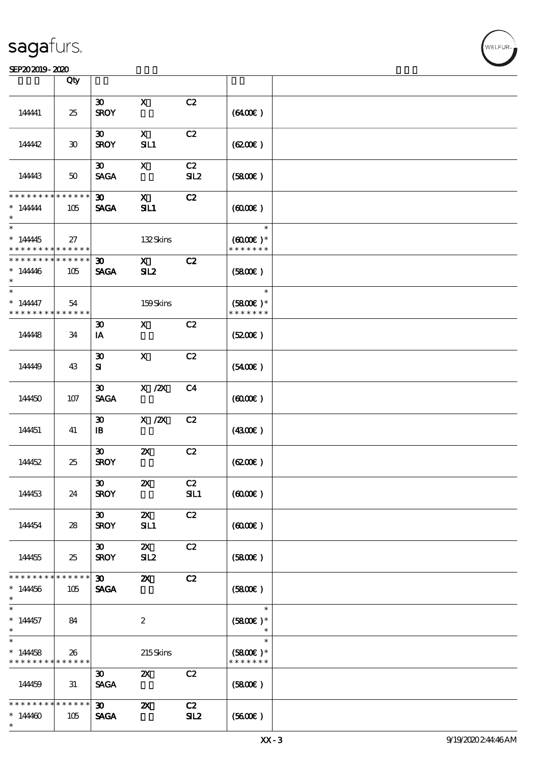#### SEP202019-2020 Production of the contract of the contract of the contract of the contract of the contract of the contract of the contract of the contract of the contract of the contract of the contract of the contract of t

|                                                         | Qty                               |                                             |                                  |                |                                                 |  |
|---------------------------------------------------------|-----------------------------------|---------------------------------------------|----------------------------------|----------------|-------------------------------------------------|--|
|                                                         |                                   | $\boldsymbol{\mathfrak{D}}$                 | $\mathbf X$                      | C2             |                                                 |  |
| 144441                                                  | 25                                | <b>SROY</b>                                 |                                  |                | (6400)                                          |  |
| 144442                                                  | $\boldsymbol{\mathfrak{D}}$       | $\boldsymbol{\mathfrak{D}}$<br><b>SROY</b>  | $\mathbf{x}$<br>SL1              | C2             | (6200)                                          |  |
| 144443                                                  | 50                                | $\boldsymbol{\mathfrak{D}}$<br><b>SAGA</b>  | $\boldsymbol{\mathsf{X}}$        | C2<br>SL2      | (5800)                                          |  |
| * * * * * * * *<br>$*$ 144444<br>$\ast$                 | * * * * * *<br>105                | $\boldsymbol{\mathfrak{D}}$<br><b>SAGA</b>  | $\mathbf{x}$<br>SL1              | C2             | (6000)                                          |  |
| $\overline{\ast}$<br>$*14445$<br>* * * * * * * *        | 27<br>* * * * * *                 |                                             | 132Skins                         |                | $\ast$<br>$(6000\varepsilon)*$<br>* * * * * * * |  |
| * * * * * * * *<br>$* 14446$<br>$\ast$                  | * * * * * *<br>105                | $\boldsymbol{\mathfrak{D}}$<br><b>SAGA</b>  | $\mathbf{X}$<br>SL2              | C2             | (5800)                                          |  |
| $\ast$<br>* 144447<br>* * * * * * * *                   | 54<br>* * * * * *                 |                                             | 159Skins                         |                | $\ast$<br>$(5800)$ *<br>* * * * * * *           |  |
| 144448                                                  | 34                                | $\boldsymbol{\mathfrak{D}}$<br>IA           | $\mathbf{X}$                     | C2             | (5200)                                          |  |
| 14449                                                   | 43                                | $\boldsymbol{\mathfrak{D}}$<br>${\bf s}$    | $\mathbf{x}$                     | C2             | (5400)                                          |  |
| 144450                                                  | $107$                             | $\boldsymbol{\mathfrak{D}}$<br><b>SAGA</b>  | $X$ / $ZX$                       | C <sub>4</sub> | (6000)                                          |  |
| 144451                                                  | 41                                | $\boldsymbol{\mathfrak{D}}$<br>$\mathbf{B}$ | $X$ / $ZX$                       | C2             | (4300)                                          |  |
| 144452                                                  | 25                                | $\boldsymbol{\mathfrak{D}}$<br><b>SROY</b>  | $\boldsymbol{\mathsf{Z}}$        | C2             | (6200)                                          |  |
| 144453                                                  | 24                                | $\boldsymbol{\mathfrak{D}}$<br><b>SROY</b>  | $\boldsymbol{\mathsf{Z}}$        | C2<br>SL1      | (6000)                                          |  |
| 144454                                                  | 28                                | $\boldsymbol{\mathfrak{D}}$<br><b>SROY</b>  | $\boldsymbol{\mathsf{X}}$<br>SL1 | C2             | $(6000\varepsilon)$                             |  |
| 144455                                                  | 25                                | $\boldsymbol{\mathfrak{D}}$<br><b>SROY</b>  | $\boldsymbol{\mathsf{Z}}$<br>SL2 | C2             | (5800)                                          |  |
| * * * * * * *<br>$*14456$<br>$\ast$                     | * * * * * *<br>105                | $\boldsymbol{\mathfrak{D}}$<br><b>SAGA</b>  | $\boldsymbol{\alpha}$            | C2             | (5800)                                          |  |
| $\ast$<br>$* 14457$<br>$\ast$                           | 84                                |                                             | $\boldsymbol{2}$                 |                | $\ast$<br>$(5800)$ *<br>$\ast$                  |  |
| $\overline{\phantom{0}}$<br>$*14458$<br>* * * * * * * * | 26<br>* * * * * *                 |                                             | 215Skins                         |                | $\ast$<br>$(5800)$ *<br>* * * * * * *           |  |
| 144459                                                  | 31                                | 30 <sub>o</sub><br><b>SAGA</b>              | $\boldsymbol{\mathsf{z}}$        | C2             | (5800)                                          |  |
| * * * * * * * *<br>$*14400$<br>$\ast$                   | $\ast\ast\ast\ast\ast\ast$<br>105 | $\boldsymbol{\mathfrak{D}}$<br><b>SAGA</b>  | $\boldsymbol{\mathsf{X}}$        | C2<br>SL2      | (5600)                                          |  |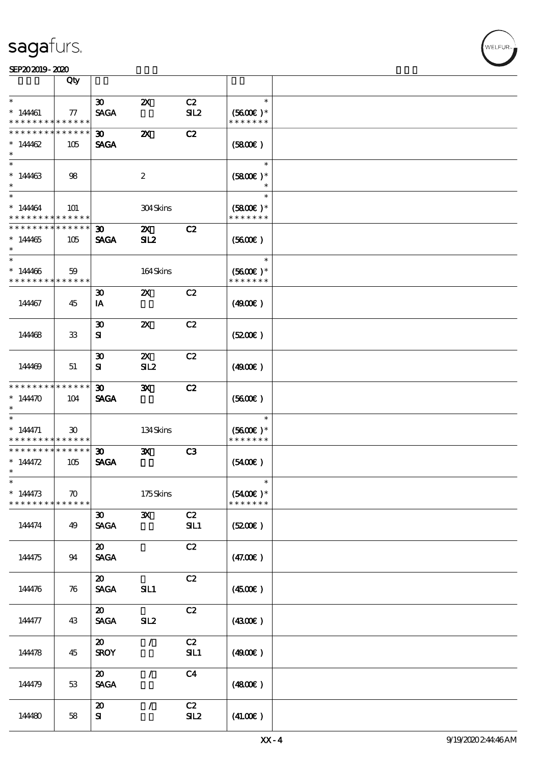#### SEP202019-2020

| Qty<br>$\ast$<br>$\ast$<br>30 <sub>o</sub><br>C2<br>$\boldsymbol{\mathsf{Z}}$<br>$*14461$<br><b>SAGA</b><br>SL2<br>$(5600)$ *<br>$\tau$<br>* * * * * * * *<br>* * * * * * *<br>* * * * * *<br>* * * * * * *<br>* * * * * *<br>$\boldsymbol{\mathsf{z}}$<br>C2<br>30 <sub>o</sub><br><b>SAGA</b><br>* $14462$<br>105<br>(SBOE)<br>$\ast$<br>$\ast$<br>$\ast$<br>$*14463$<br>$\boldsymbol{2}$<br>$(5800)$ *<br>98<br>$\ast$<br>$\ast$<br>$\ast$<br>$* 14464$<br>304Skins<br>$(5800)$ *<br>101<br>* * * * * * * * <mark>* * * * * *</mark><br>* * * * * * *<br>* * * * * * * *<br>$* * * * * * *$<br>$\boldsymbol{\mathfrak{D}}$<br>$\boldsymbol{\mathsf{X}}$<br>C2<br><b>SAGA</b><br>SL2<br>(5600)<br>* 144465<br>105<br>$\ast$<br>$\ast$<br>$*14466$<br>164Skins<br>$(5600)$ *<br>59<br>* * * * * * * *<br>******<br>* * * * * * *<br>C2<br>$\boldsymbol{\mathfrak{D}}$<br>$\boldsymbol{\mathsf{Z}}$<br>144467<br>(4900)<br>45<br>IA<br>$\boldsymbol{\mathfrak{D}}$<br>$\boldsymbol{\mathsf{X}}$<br>C2<br>(5200)<br>${\bf s}$<br>14468<br>33<br>$\boldsymbol{\mathsf{Z}}$<br>C2<br>$\boldsymbol{\mathfrak{D}}$<br>SL2<br>(4900)<br>${\bf s}$<br>144469<br>51<br>* * * * * * * *<br>* * * * * *<br>$\boldsymbol{\mathfrak{D}}$<br>$\mathbf{x}$<br>C2<br>* $14470$<br><b>SAGA</b><br>(5600)<br>104<br>$\ast$<br>$\ast$<br>$\ast$<br>134Skins<br>$(5600)$ *<br>$* 144471$<br>30 <sup>°</sup><br>* * * * * * *<br>* * * * * * * *<br>* * * * * *  <br>* * * * * * * *<br>* * * * * *<br>$\boldsymbol{\mathfrak{D}}$<br>$\mathbf{x}$<br>C3<br>* $14472$<br><b>SAGA</b><br>$(5400\varepsilon)$<br>105<br>$\ast$<br>$\ast$<br>$* 14473$<br>175Skins<br>$(5400)$ *<br>$\boldsymbol{\pi}$<br>* * * * * * *<br>* * * * * * * *<br>* * * * * *<br>C2<br>$\mathbf{x}$<br>$\boldsymbol{\mathfrak{D}}$<br><b>SAGA</b><br>SL1<br>(5200)<br>144474<br>49<br>C2<br>$\boldsymbol{\mathsf{20}}$<br><b>SAGA</b><br>(47.00)<br>144475<br>94<br>C2<br>$\boldsymbol{\mathfrak{D}}$<br><b>SAGA</b><br>SIL1<br>(4500)<br>144476<br>76<br>C2<br>$\boldsymbol{\mathfrak{D}}$<br><b>SAGA</b><br>SL2<br>(430E)<br>144477<br>43<br>C2<br>$\boldsymbol{\mathsf{20}}$<br>$\mathcal{L}$<br><b>SROY</b><br>SL1<br>144478<br>(4900)<br>45<br>C <sub>4</sub><br>$\boldsymbol{\mathfrak{D}}$<br>$\mathcal{L}$<br><b>SAGA</b><br>(4800)<br>144479<br>53<br>C2<br>$\mathcal{L}$<br>$\boldsymbol{\mathfrak{D}}$<br>SL2<br>(41.00)<br>${\bf s}$<br>144480<br>58 |  |  |  |  |
|-----------------------------------------------------------------------------------------------------------------------------------------------------------------------------------------------------------------------------------------------------------------------------------------------------------------------------------------------------------------------------------------------------------------------------------------------------------------------------------------------------------------------------------------------------------------------------------------------------------------------------------------------------------------------------------------------------------------------------------------------------------------------------------------------------------------------------------------------------------------------------------------------------------------------------------------------------------------------------------------------------------------------------------------------------------------------------------------------------------------------------------------------------------------------------------------------------------------------------------------------------------------------------------------------------------------------------------------------------------------------------------------------------------------------------------------------------------------------------------------------------------------------------------------------------------------------------------------------------------------------------------------------------------------------------------------------------------------------------------------------------------------------------------------------------------------------------------------------------------------------------------------------------------------------------------------------------------------------------------------------------------------------------------------------------------------------------------------------------------------------------------------------------------------------------------------------------------------------------------------------------------------------------------------------------------------------------------------------------------------------------------------------------------------------|--|--|--|--|
|                                                                                                                                                                                                                                                                                                                                                                                                                                                                                                                                                                                                                                                                                                                                                                                                                                                                                                                                                                                                                                                                                                                                                                                                                                                                                                                                                                                                                                                                                                                                                                                                                                                                                                                                                                                                                                                                                                                                                                                                                                                                                                                                                                                                                                                                                                                                                                                                                       |  |  |  |  |
|                                                                                                                                                                                                                                                                                                                                                                                                                                                                                                                                                                                                                                                                                                                                                                                                                                                                                                                                                                                                                                                                                                                                                                                                                                                                                                                                                                                                                                                                                                                                                                                                                                                                                                                                                                                                                                                                                                                                                                                                                                                                                                                                                                                                                                                                                                                                                                                                                       |  |  |  |  |
|                                                                                                                                                                                                                                                                                                                                                                                                                                                                                                                                                                                                                                                                                                                                                                                                                                                                                                                                                                                                                                                                                                                                                                                                                                                                                                                                                                                                                                                                                                                                                                                                                                                                                                                                                                                                                                                                                                                                                                                                                                                                                                                                                                                                                                                                                                                                                                                                                       |  |  |  |  |
|                                                                                                                                                                                                                                                                                                                                                                                                                                                                                                                                                                                                                                                                                                                                                                                                                                                                                                                                                                                                                                                                                                                                                                                                                                                                                                                                                                                                                                                                                                                                                                                                                                                                                                                                                                                                                                                                                                                                                                                                                                                                                                                                                                                                                                                                                                                                                                                                                       |  |  |  |  |
|                                                                                                                                                                                                                                                                                                                                                                                                                                                                                                                                                                                                                                                                                                                                                                                                                                                                                                                                                                                                                                                                                                                                                                                                                                                                                                                                                                                                                                                                                                                                                                                                                                                                                                                                                                                                                                                                                                                                                                                                                                                                                                                                                                                                                                                                                                                                                                                                                       |  |  |  |  |
|                                                                                                                                                                                                                                                                                                                                                                                                                                                                                                                                                                                                                                                                                                                                                                                                                                                                                                                                                                                                                                                                                                                                                                                                                                                                                                                                                                                                                                                                                                                                                                                                                                                                                                                                                                                                                                                                                                                                                                                                                                                                                                                                                                                                                                                                                                                                                                                                                       |  |  |  |  |
|                                                                                                                                                                                                                                                                                                                                                                                                                                                                                                                                                                                                                                                                                                                                                                                                                                                                                                                                                                                                                                                                                                                                                                                                                                                                                                                                                                                                                                                                                                                                                                                                                                                                                                                                                                                                                                                                                                                                                                                                                                                                                                                                                                                                                                                                                                                                                                                                                       |  |  |  |  |
|                                                                                                                                                                                                                                                                                                                                                                                                                                                                                                                                                                                                                                                                                                                                                                                                                                                                                                                                                                                                                                                                                                                                                                                                                                                                                                                                                                                                                                                                                                                                                                                                                                                                                                                                                                                                                                                                                                                                                                                                                                                                                                                                                                                                                                                                                                                                                                                                                       |  |  |  |  |
|                                                                                                                                                                                                                                                                                                                                                                                                                                                                                                                                                                                                                                                                                                                                                                                                                                                                                                                                                                                                                                                                                                                                                                                                                                                                                                                                                                                                                                                                                                                                                                                                                                                                                                                                                                                                                                                                                                                                                                                                                                                                                                                                                                                                                                                                                                                                                                                                                       |  |  |  |  |
|                                                                                                                                                                                                                                                                                                                                                                                                                                                                                                                                                                                                                                                                                                                                                                                                                                                                                                                                                                                                                                                                                                                                                                                                                                                                                                                                                                                                                                                                                                                                                                                                                                                                                                                                                                                                                                                                                                                                                                                                                                                                                                                                                                                                                                                                                                                                                                                                                       |  |  |  |  |
|                                                                                                                                                                                                                                                                                                                                                                                                                                                                                                                                                                                                                                                                                                                                                                                                                                                                                                                                                                                                                                                                                                                                                                                                                                                                                                                                                                                                                                                                                                                                                                                                                                                                                                                                                                                                                                                                                                                                                                                                                                                                                                                                                                                                                                                                                                                                                                                                                       |  |  |  |  |
|                                                                                                                                                                                                                                                                                                                                                                                                                                                                                                                                                                                                                                                                                                                                                                                                                                                                                                                                                                                                                                                                                                                                                                                                                                                                                                                                                                                                                                                                                                                                                                                                                                                                                                                                                                                                                                                                                                                                                                                                                                                                                                                                                                                                                                                                                                                                                                                                                       |  |  |  |  |
|                                                                                                                                                                                                                                                                                                                                                                                                                                                                                                                                                                                                                                                                                                                                                                                                                                                                                                                                                                                                                                                                                                                                                                                                                                                                                                                                                                                                                                                                                                                                                                                                                                                                                                                                                                                                                                                                                                                                                                                                                                                                                                                                                                                                                                                                                                                                                                                                                       |  |  |  |  |
|                                                                                                                                                                                                                                                                                                                                                                                                                                                                                                                                                                                                                                                                                                                                                                                                                                                                                                                                                                                                                                                                                                                                                                                                                                                                                                                                                                                                                                                                                                                                                                                                                                                                                                                                                                                                                                                                                                                                                                                                                                                                                                                                                                                                                                                                                                                                                                                                                       |  |  |  |  |
|                                                                                                                                                                                                                                                                                                                                                                                                                                                                                                                                                                                                                                                                                                                                                                                                                                                                                                                                                                                                                                                                                                                                                                                                                                                                                                                                                                                                                                                                                                                                                                                                                                                                                                                                                                                                                                                                                                                                                                                                                                                                                                                                                                                                                                                                                                                                                                                                                       |  |  |  |  |
|                                                                                                                                                                                                                                                                                                                                                                                                                                                                                                                                                                                                                                                                                                                                                                                                                                                                                                                                                                                                                                                                                                                                                                                                                                                                                                                                                                                                                                                                                                                                                                                                                                                                                                                                                                                                                                                                                                                                                                                                                                                                                                                                                                                                                                                                                                                                                                                                                       |  |  |  |  |
|                                                                                                                                                                                                                                                                                                                                                                                                                                                                                                                                                                                                                                                                                                                                                                                                                                                                                                                                                                                                                                                                                                                                                                                                                                                                                                                                                                                                                                                                                                                                                                                                                                                                                                                                                                                                                                                                                                                                                                                                                                                                                                                                                                                                                                                                                                                                                                                                                       |  |  |  |  |
|                                                                                                                                                                                                                                                                                                                                                                                                                                                                                                                                                                                                                                                                                                                                                                                                                                                                                                                                                                                                                                                                                                                                                                                                                                                                                                                                                                                                                                                                                                                                                                                                                                                                                                                                                                                                                                                                                                                                                                                                                                                                                                                                                                                                                                                                                                                                                                                                                       |  |  |  |  |
|                                                                                                                                                                                                                                                                                                                                                                                                                                                                                                                                                                                                                                                                                                                                                                                                                                                                                                                                                                                                                                                                                                                                                                                                                                                                                                                                                                                                                                                                                                                                                                                                                                                                                                                                                                                                                                                                                                                                                                                                                                                                                                                                                                                                                                                                                                                                                                                                                       |  |  |  |  |
|                                                                                                                                                                                                                                                                                                                                                                                                                                                                                                                                                                                                                                                                                                                                                                                                                                                                                                                                                                                                                                                                                                                                                                                                                                                                                                                                                                                                                                                                                                                                                                                                                                                                                                                                                                                                                                                                                                                                                                                                                                                                                                                                                                                                                                                                                                                                                                                                                       |  |  |  |  |
|                                                                                                                                                                                                                                                                                                                                                                                                                                                                                                                                                                                                                                                                                                                                                                                                                                                                                                                                                                                                                                                                                                                                                                                                                                                                                                                                                                                                                                                                                                                                                                                                                                                                                                                                                                                                                                                                                                                                                                                                                                                                                                                                                                                                                                                                                                                                                                                                                       |  |  |  |  |
|                                                                                                                                                                                                                                                                                                                                                                                                                                                                                                                                                                                                                                                                                                                                                                                                                                                                                                                                                                                                                                                                                                                                                                                                                                                                                                                                                                                                                                                                                                                                                                                                                                                                                                                                                                                                                                                                                                                                                                                                                                                                                                                                                                                                                                                                                                                                                                                                                       |  |  |  |  |
|                                                                                                                                                                                                                                                                                                                                                                                                                                                                                                                                                                                                                                                                                                                                                                                                                                                                                                                                                                                                                                                                                                                                                                                                                                                                                                                                                                                                                                                                                                                                                                                                                                                                                                                                                                                                                                                                                                                                                                                                                                                                                                                                                                                                                                                                                                                                                                                                                       |  |  |  |  |
|                                                                                                                                                                                                                                                                                                                                                                                                                                                                                                                                                                                                                                                                                                                                                                                                                                                                                                                                                                                                                                                                                                                                                                                                                                                                                                                                                                                                                                                                                                                                                                                                                                                                                                                                                                                                                                                                                                                                                                                                                                                                                                                                                                                                                                                                                                                                                                                                                       |  |  |  |  |
|                                                                                                                                                                                                                                                                                                                                                                                                                                                                                                                                                                                                                                                                                                                                                                                                                                                                                                                                                                                                                                                                                                                                                                                                                                                                                                                                                                                                                                                                                                                                                                                                                                                                                                                                                                                                                                                                                                                                                                                                                                                                                                                                                                                                                                                                                                                                                                                                                       |  |  |  |  |
|                                                                                                                                                                                                                                                                                                                                                                                                                                                                                                                                                                                                                                                                                                                                                                                                                                                                                                                                                                                                                                                                                                                                                                                                                                                                                                                                                                                                                                                                                                                                                                                                                                                                                                                                                                                                                                                                                                                                                                                                                                                                                                                                                                                                                                                                                                                                                                                                                       |  |  |  |  |
|                                                                                                                                                                                                                                                                                                                                                                                                                                                                                                                                                                                                                                                                                                                                                                                                                                                                                                                                                                                                                                                                                                                                                                                                                                                                                                                                                                                                                                                                                                                                                                                                                                                                                                                                                                                                                                                                                                                                                                                                                                                                                                                                                                                                                                                                                                                                                                                                                       |  |  |  |  |
|                                                                                                                                                                                                                                                                                                                                                                                                                                                                                                                                                                                                                                                                                                                                                                                                                                                                                                                                                                                                                                                                                                                                                                                                                                                                                                                                                                                                                                                                                                                                                                                                                                                                                                                                                                                                                                                                                                                                                                                                                                                                                                                                                                                                                                                                                                                                                                                                                       |  |  |  |  |
|                                                                                                                                                                                                                                                                                                                                                                                                                                                                                                                                                                                                                                                                                                                                                                                                                                                                                                                                                                                                                                                                                                                                                                                                                                                                                                                                                                                                                                                                                                                                                                                                                                                                                                                                                                                                                                                                                                                                                                                                                                                                                                                                                                                                                                                                                                                                                                                                                       |  |  |  |  |
|                                                                                                                                                                                                                                                                                                                                                                                                                                                                                                                                                                                                                                                                                                                                                                                                                                                                                                                                                                                                                                                                                                                                                                                                                                                                                                                                                                                                                                                                                                                                                                                                                                                                                                                                                                                                                                                                                                                                                                                                                                                                                                                                                                                                                                                                                                                                                                                                                       |  |  |  |  |
|                                                                                                                                                                                                                                                                                                                                                                                                                                                                                                                                                                                                                                                                                                                                                                                                                                                                                                                                                                                                                                                                                                                                                                                                                                                                                                                                                                                                                                                                                                                                                                                                                                                                                                                                                                                                                                                                                                                                                                                                                                                                                                                                                                                                                                                                                                                                                                                                                       |  |  |  |  |
|                                                                                                                                                                                                                                                                                                                                                                                                                                                                                                                                                                                                                                                                                                                                                                                                                                                                                                                                                                                                                                                                                                                                                                                                                                                                                                                                                                                                                                                                                                                                                                                                                                                                                                                                                                                                                                                                                                                                                                                                                                                                                                                                                                                                                                                                                                                                                                                                                       |  |  |  |  |
|                                                                                                                                                                                                                                                                                                                                                                                                                                                                                                                                                                                                                                                                                                                                                                                                                                                                                                                                                                                                                                                                                                                                                                                                                                                                                                                                                                                                                                                                                                                                                                                                                                                                                                                                                                                                                                                                                                                                                                                                                                                                                                                                                                                                                                                                                                                                                                                                                       |  |  |  |  |
|                                                                                                                                                                                                                                                                                                                                                                                                                                                                                                                                                                                                                                                                                                                                                                                                                                                                                                                                                                                                                                                                                                                                                                                                                                                                                                                                                                                                                                                                                                                                                                                                                                                                                                                                                                                                                                                                                                                                                                                                                                                                                                                                                                                                                                                                                                                                                                                                                       |  |  |  |  |
|                                                                                                                                                                                                                                                                                                                                                                                                                                                                                                                                                                                                                                                                                                                                                                                                                                                                                                                                                                                                                                                                                                                                                                                                                                                                                                                                                                                                                                                                                                                                                                                                                                                                                                                                                                                                                                                                                                                                                                                                                                                                                                                                                                                                                                                                                                                                                                                                                       |  |  |  |  |
|                                                                                                                                                                                                                                                                                                                                                                                                                                                                                                                                                                                                                                                                                                                                                                                                                                                                                                                                                                                                                                                                                                                                                                                                                                                                                                                                                                                                                                                                                                                                                                                                                                                                                                                                                                                                                                                                                                                                                                                                                                                                                                                                                                                                                                                                                                                                                                                                                       |  |  |  |  |
|                                                                                                                                                                                                                                                                                                                                                                                                                                                                                                                                                                                                                                                                                                                                                                                                                                                                                                                                                                                                                                                                                                                                                                                                                                                                                                                                                                                                                                                                                                                                                                                                                                                                                                                                                                                                                                                                                                                                                                                                                                                                                                                                                                                                                                                                                                                                                                                                                       |  |  |  |  |
|                                                                                                                                                                                                                                                                                                                                                                                                                                                                                                                                                                                                                                                                                                                                                                                                                                                                                                                                                                                                                                                                                                                                                                                                                                                                                                                                                                                                                                                                                                                                                                                                                                                                                                                                                                                                                                                                                                                                                                                                                                                                                                                                                                                                                                                                                                                                                                                                                       |  |  |  |  |
|                                                                                                                                                                                                                                                                                                                                                                                                                                                                                                                                                                                                                                                                                                                                                                                                                                                                                                                                                                                                                                                                                                                                                                                                                                                                                                                                                                                                                                                                                                                                                                                                                                                                                                                                                                                                                                                                                                                                                                                                                                                                                                                                                                                                                                                                                                                                                                                                                       |  |  |  |  |
|                                                                                                                                                                                                                                                                                                                                                                                                                                                                                                                                                                                                                                                                                                                                                                                                                                                                                                                                                                                                                                                                                                                                                                                                                                                                                                                                                                                                                                                                                                                                                                                                                                                                                                                                                                                                                                                                                                                                                                                                                                                                                                                                                                                                                                                                                                                                                                                                                       |  |  |  |  |
|                                                                                                                                                                                                                                                                                                                                                                                                                                                                                                                                                                                                                                                                                                                                                                                                                                                                                                                                                                                                                                                                                                                                                                                                                                                                                                                                                                                                                                                                                                                                                                                                                                                                                                                                                                                                                                                                                                                                                                                                                                                                                                                                                                                                                                                                                                                                                                                                                       |  |  |  |  |
|                                                                                                                                                                                                                                                                                                                                                                                                                                                                                                                                                                                                                                                                                                                                                                                                                                                                                                                                                                                                                                                                                                                                                                                                                                                                                                                                                                                                                                                                                                                                                                                                                                                                                                                                                                                                                                                                                                                                                                                                                                                                                                                                                                                                                                                                                                                                                                                                                       |  |  |  |  |
|                                                                                                                                                                                                                                                                                                                                                                                                                                                                                                                                                                                                                                                                                                                                                                                                                                                                                                                                                                                                                                                                                                                                                                                                                                                                                                                                                                                                                                                                                                                                                                                                                                                                                                                                                                                                                                                                                                                                                                                                                                                                                                                                                                                                                                                                                                                                                                                                                       |  |  |  |  |
|                                                                                                                                                                                                                                                                                                                                                                                                                                                                                                                                                                                                                                                                                                                                                                                                                                                                                                                                                                                                                                                                                                                                                                                                                                                                                                                                                                                                                                                                                                                                                                                                                                                                                                                                                                                                                                                                                                                                                                                                                                                                                                                                                                                                                                                                                                                                                                                                                       |  |  |  |  |
|                                                                                                                                                                                                                                                                                                                                                                                                                                                                                                                                                                                                                                                                                                                                                                                                                                                                                                                                                                                                                                                                                                                                                                                                                                                                                                                                                                                                                                                                                                                                                                                                                                                                                                                                                                                                                                                                                                                                                                                                                                                                                                                                                                                                                                                                                                                                                                                                                       |  |  |  |  |
|                                                                                                                                                                                                                                                                                                                                                                                                                                                                                                                                                                                                                                                                                                                                                                                                                                                                                                                                                                                                                                                                                                                                                                                                                                                                                                                                                                                                                                                                                                                                                                                                                                                                                                                                                                                                                                                                                                                                                                                                                                                                                                                                                                                                                                                                                                                                                                                                                       |  |  |  |  |
|                                                                                                                                                                                                                                                                                                                                                                                                                                                                                                                                                                                                                                                                                                                                                                                                                                                                                                                                                                                                                                                                                                                                                                                                                                                                                                                                                                                                                                                                                                                                                                                                                                                                                                                                                                                                                                                                                                                                                                                                                                                                                                                                                                                                                                                                                                                                                                                                                       |  |  |  |  |
|                                                                                                                                                                                                                                                                                                                                                                                                                                                                                                                                                                                                                                                                                                                                                                                                                                                                                                                                                                                                                                                                                                                                                                                                                                                                                                                                                                                                                                                                                                                                                                                                                                                                                                                                                                                                                                                                                                                                                                                                                                                                                                                                                                                                                                                                                                                                                                                                                       |  |  |  |  |
|                                                                                                                                                                                                                                                                                                                                                                                                                                                                                                                                                                                                                                                                                                                                                                                                                                                                                                                                                                                                                                                                                                                                                                                                                                                                                                                                                                                                                                                                                                                                                                                                                                                                                                                                                                                                                                                                                                                                                                                                                                                                                                                                                                                                                                                                                                                                                                                                                       |  |  |  |  |
|                                                                                                                                                                                                                                                                                                                                                                                                                                                                                                                                                                                                                                                                                                                                                                                                                                                                                                                                                                                                                                                                                                                                                                                                                                                                                                                                                                                                                                                                                                                                                                                                                                                                                                                                                                                                                                                                                                                                                                                                                                                                                                                                                                                                                                                                                                                                                                                                                       |  |  |  |  |
|                                                                                                                                                                                                                                                                                                                                                                                                                                                                                                                                                                                                                                                                                                                                                                                                                                                                                                                                                                                                                                                                                                                                                                                                                                                                                                                                                                                                                                                                                                                                                                                                                                                                                                                                                                                                                                                                                                                                                                                                                                                                                                                                                                                                                                                                                                                                                                                                                       |  |  |  |  |
|                                                                                                                                                                                                                                                                                                                                                                                                                                                                                                                                                                                                                                                                                                                                                                                                                                                                                                                                                                                                                                                                                                                                                                                                                                                                                                                                                                                                                                                                                                                                                                                                                                                                                                                                                                                                                                                                                                                                                                                                                                                                                                                                                                                                                                                                                                                                                                                                                       |  |  |  |  |
|                                                                                                                                                                                                                                                                                                                                                                                                                                                                                                                                                                                                                                                                                                                                                                                                                                                                                                                                                                                                                                                                                                                                                                                                                                                                                                                                                                                                                                                                                                                                                                                                                                                                                                                                                                                                                                                                                                                                                                                                                                                                                                                                                                                                                                                                                                                                                                                                                       |  |  |  |  |
|                                                                                                                                                                                                                                                                                                                                                                                                                                                                                                                                                                                                                                                                                                                                                                                                                                                                                                                                                                                                                                                                                                                                                                                                                                                                                                                                                                                                                                                                                                                                                                                                                                                                                                                                                                                                                                                                                                                                                                                                                                                                                                                                                                                                                                                                                                                                                                                                                       |  |  |  |  |
|                                                                                                                                                                                                                                                                                                                                                                                                                                                                                                                                                                                                                                                                                                                                                                                                                                                                                                                                                                                                                                                                                                                                                                                                                                                                                                                                                                                                                                                                                                                                                                                                                                                                                                                                                                                                                                                                                                                                                                                                                                                                                                                                                                                                                                                                                                                                                                                                                       |  |  |  |  |
|                                                                                                                                                                                                                                                                                                                                                                                                                                                                                                                                                                                                                                                                                                                                                                                                                                                                                                                                                                                                                                                                                                                                                                                                                                                                                                                                                                                                                                                                                                                                                                                                                                                                                                                                                                                                                                                                                                                                                                                                                                                                                                                                                                                                                                                                                                                                                                                                                       |  |  |  |  |
|                                                                                                                                                                                                                                                                                                                                                                                                                                                                                                                                                                                                                                                                                                                                                                                                                                                                                                                                                                                                                                                                                                                                                                                                                                                                                                                                                                                                                                                                                                                                                                                                                                                                                                                                                                                                                                                                                                                                                                                                                                                                                                                                                                                                                                                                                                                                                                                                                       |  |  |  |  |
|                                                                                                                                                                                                                                                                                                                                                                                                                                                                                                                                                                                                                                                                                                                                                                                                                                                                                                                                                                                                                                                                                                                                                                                                                                                                                                                                                                                                                                                                                                                                                                                                                                                                                                                                                                                                                                                                                                                                                                                                                                                                                                                                                                                                                                                                                                                                                                                                                       |  |  |  |  |
|                                                                                                                                                                                                                                                                                                                                                                                                                                                                                                                                                                                                                                                                                                                                                                                                                                                                                                                                                                                                                                                                                                                                                                                                                                                                                                                                                                                                                                                                                                                                                                                                                                                                                                                                                                                                                                                                                                                                                                                                                                                                                                                                                                                                                                                                                                                                                                                                                       |  |  |  |  |
|                                                                                                                                                                                                                                                                                                                                                                                                                                                                                                                                                                                                                                                                                                                                                                                                                                                                                                                                                                                                                                                                                                                                                                                                                                                                                                                                                                                                                                                                                                                                                                                                                                                                                                                                                                                                                                                                                                                                                                                                                                                                                                                                                                                                                                                                                                                                                                                                                       |  |  |  |  |
|                                                                                                                                                                                                                                                                                                                                                                                                                                                                                                                                                                                                                                                                                                                                                                                                                                                                                                                                                                                                                                                                                                                                                                                                                                                                                                                                                                                                                                                                                                                                                                                                                                                                                                                                                                                                                                                                                                                                                                                                                                                                                                                                                                                                                                                                                                                                                                                                                       |  |  |  |  |
|                                                                                                                                                                                                                                                                                                                                                                                                                                                                                                                                                                                                                                                                                                                                                                                                                                                                                                                                                                                                                                                                                                                                                                                                                                                                                                                                                                                                                                                                                                                                                                                                                                                                                                                                                                                                                                                                                                                                                                                                                                                                                                                                                                                                                                                                                                                                                                                                                       |  |  |  |  |
|                                                                                                                                                                                                                                                                                                                                                                                                                                                                                                                                                                                                                                                                                                                                                                                                                                                                                                                                                                                                                                                                                                                                                                                                                                                                                                                                                                                                                                                                                                                                                                                                                                                                                                                                                                                                                                                                                                                                                                                                                                                                                                                                                                                                                                                                                                                                                                                                                       |  |  |  |  |
|                                                                                                                                                                                                                                                                                                                                                                                                                                                                                                                                                                                                                                                                                                                                                                                                                                                                                                                                                                                                                                                                                                                                                                                                                                                                                                                                                                                                                                                                                                                                                                                                                                                                                                                                                                                                                                                                                                                                                                                                                                                                                                                                                                                                                                                                                                                                                                                                                       |  |  |  |  |
|                                                                                                                                                                                                                                                                                                                                                                                                                                                                                                                                                                                                                                                                                                                                                                                                                                                                                                                                                                                                                                                                                                                                                                                                                                                                                                                                                                                                                                                                                                                                                                                                                                                                                                                                                                                                                                                                                                                                                                                                                                                                                                                                                                                                                                                                                                                                                                                                                       |  |  |  |  |
|                                                                                                                                                                                                                                                                                                                                                                                                                                                                                                                                                                                                                                                                                                                                                                                                                                                                                                                                                                                                                                                                                                                                                                                                                                                                                                                                                                                                                                                                                                                                                                                                                                                                                                                                                                                                                                                                                                                                                                                                                                                                                                                                                                                                                                                                                                                                                                                                                       |  |  |  |  |
|                                                                                                                                                                                                                                                                                                                                                                                                                                                                                                                                                                                                                                                                                                                                                                                                                                                                                                                                                                                                                                                                                                                                                                                                                                                                                                                                                                                                                                                                                                                                                                                                                                                                                                                                                                                                                                                                                                                                                                                                                                                                                                                                                                                                                                                                                                                                                                                                                       |  |  |  |  |
|                                                                                                                                                                                                                                                                                                                                                                                                                                                                                                                                                                                                                                                                                                                                                                                                                                                                                                                                                                                                                                                                                                                                                                                                                                                                                                                                                                                                                                                                                                                                                                                                                                                                                                                                                                                                                                                                                                                                                                                                                                                                                                                                                                                                                                                                                                                                                                                                                       |  |  |  |  |
|                                                                                                                                                                                                                                                                                                                                                                                                                                                                                                                                                                                                                                                                                                                                                                                                                                                                                                                                                                                                                                                                                                                                                                                                                                                                                                                                                                                                                                                                                                                                                                                                                                                                                                                                                                                                                                                                                                                                                                                                                                                                                                                                                                                                                                                                                                                                                                                                                       |  |  |  |  |
|                                                                                                                                                                                                                                                                                                                                                                                                                                                                                                                                                                                                                                                                                                                                                                                                                                                                                                                                                                                                                                                                                                                                                                                                                                                                                                                                                                                                                                                                                                                                                                                                                                                                                                                                                                                                                                                                                                                                                                                                                                                                                                                                                                                                                                                                                                                                                                                                                       |  |  |  |  |
|                                                                                                                                                                                                                                                                                                                                                                                                                                                                                                                                                                                                                                                                                                                                                                                                                                                                                                                                                                                                                                                                                                                                                                                                                                                                                                                                                                                                                                                                                                                                                                                                                                                                                                                                                                                                                                                                                                                                                                                                                                                                                                                                                                                                                                                                                                                                                                                                                       |  |  |  |  |
|                                                                                                                                                                                                                                                                                                                                                                                                                                                                                                                                                                                                                                                                                                                                                                                                                                                                                                                                                                                                                                                                                                                                                                                                                                                                                                                                                                                                                                                                                                                                                                                                                                                                                                                                                                                                                                                                                                                                                                                                                                                                                                                                                                                                                                                                                                                                                                                                                       |  |  |  |  |
|                                                                                                                                                                                                                                                                                                                                                                                                                                                                                                                                                                                                                                                                                                                                                                                                                                                                                                                                                                                                                                                                                                                                                                                                                                                                                                                                                                                                                                                                                                                                                                                                                                                                                                                                                                                                                                                                                                                                                                                                                                                                                                                                                                                                                                                                                                                                                                                                                       |  |  |  |  |
|                                                                                                                                                                                                                                                                                                                                                                                                                                                                                                                                                                                                                                                                                                                                                                                                                                                                                                                                                                                                                                                                                                                                                                                                                                                                                                                                                                                                                                                                                                                                                                                                                                                                                                                                                                                                                                                                                                                                                                                                                                                                                                                                                                                                                                                                                                                                                                                                                       |  |  |  |  |
|                                                                                                                                                                                                                                                                                                                                                                                                                                                                                                                                                                                                                                                                                                                                                                                                                                                                                                                                                                                                                                                                                                                                                                                                                                                                                                                                                                                                                                                                                                                                                                                                                                                                                                                                                                                                                                                                                                                                                                                                                                                                                                                                                                                                                                                                                                                                                                                                                       |  |  |  |  |
|                                                                                                                                                                                                                                                                                                                                                                                                                                                                                                                                                                                                                                                                                                                                                                                                                                                                                                                                                                                                                                                                                                                                                                                                                                                                                                                                                                                                                                                                                                                                                                                                                                                                                                                                                                                                                                                                                                                                                                                                                                                                                                                                                                                                                                                                                                                                                                                                                       |  |  |  |  |
|                                                                                                                                                                                                                                                                                                                                                                                                                                                                                                                                                                                                                                                                                                                                                                                                                                                                                                                                                                                                                                                                                                                                                                                                                                                                                                                                                                                                                                                                                                                                                                                                                                                                                                                                                                                                                                                                                                                                                                                                                                                                                                                                                                                                                                                                                                                                                                                                                       |  |  |  |  |
|                                                                                                                                                                                                                                                                                                                                                                                                                                                                                                                                                                                                                                                                                                                                                                                                                                                                                                                                                                                                                                                                                                                                                                                                                                                                                                                                                                                                                                                                                                                                                                                                                                                                                                                                                                                                                                                                                                                                                                                                                                                                                                                                                                                                                                                                                                                                                                                                                       |  |  |  |  |
|                                                                                                                                                                                                                                                                                                                                                                                                                                                                                                                                                                                                                                                                                                                                                                                                                                                                                                                                                                                                                                                                                                                                                                                                                                                                                                                                                                                                                                                                                                                                                                                                                                                                                                                                                                                                                                                                                                                                                                                                                                                                                                                                                                                                                                                                                                                                                                                                                       |  |  |  |  |
|                                                                                                                                                                                                                                                                                                                                                                                                                                                                                                                                                                                                                                                                                                                                                                                                                                                                                                                                                                                                                                                                                                                                                                                                                                                                                                                                                                                                                                                                                                                                                                                                                                                                                                                                                                                                                                                                                                                                                                                                                                                                                                                                                                                                                                                                                                                                                                                                                       |  |  |  |  |
|                                                                                                                                                                                                                                                                                                                                                                                                                                                                                                                                                                                                                                                                                                                                                                                                                                                                                                                                                                                                                                                                                                                                                                                                                                                                                                                                                                                                                                                                                                                                                                                                                                                                                                                                                                                                                                                                                                                                                                                                                                                                                                                                                                                                                                                                                                                                                                                                                       |  |  |  |  |
|                                                                                                                                                                                                                                                                                                                                                                                                                                                                                                                                                                                                                                                                                                                                                                                                                                                                                                                                                                                                                                                                                                                                                                                                                                                                                                                                                                                                                                                                                                                                                                                                                                                                                                                                                                                                                                                                                                                                                                                                                                                                                                                                                                                                                                                                                                                                                                                                                       |  |  |  |  |
|                                                                                                                                                                                                                                                                                                                                                                                                                                                                                                                                                                                                                                                                                                                                                                                                                                                                                                                                                                                                                                                                                                                                                                                                                                                                                                                                                                                                                                                                                                                                                                                                                                                                                                                                                                                                                                                                                                                                                                                                                                                                                                                                                                                                                                                                                                                                                                                                                       |  |  |  |  |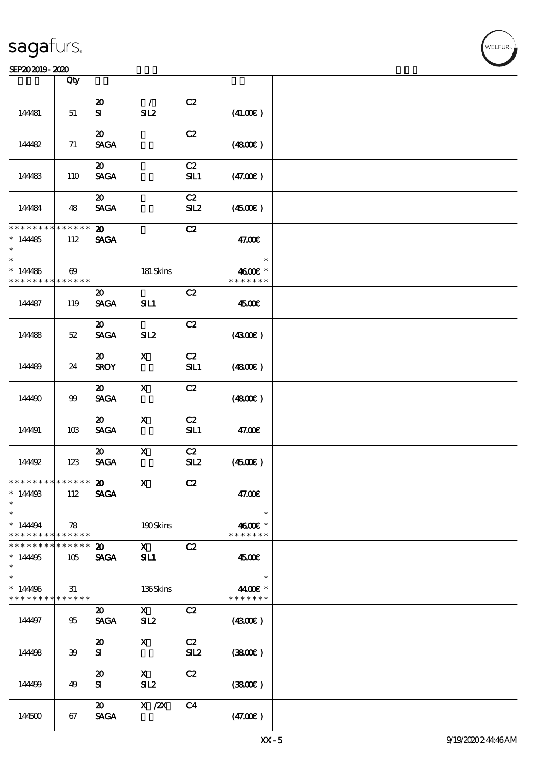### SEP202019-2020

|                                                                  | Qty                                  |                                            |                     |                |                                     |  |
|------------------------------------------------------------------|--------------------------------------|--------------------------------------------|---------------------|----------------|-------------------------------------|--|
|                                                                  |                                      |                                            |                     |                |                                     |  |
| 144481                                                           | 51                                   | $\boldsymbol{\mathbf{z}}$<br>${\bf s}$     | $\sqrt{2}$<br>SL2   | C2             | (41.00)                             |  |
| 14482                                                            | 71                                   | $\boldsymbol{\mathfrak{D}}$<br><b>SAGA</b> |                     | C2             | (4800)                              |  |
| 144483                                                           | 110                                  | $\boldsymbol{\mathfrak{D}}$<br><b>SAGA</b> |                     | C2<br>SL1      | (47.00)                             |  |
| 144484                                                           | 48                                   | $\boldsymbol{\mathsf{20}}$<br><b>SAGA</b>  |                     | C2<br>SL2      | (450E)                              |  |
| * * * * * * * *<br>$*14485$                                      | $* * * * * * *$<br>112               | $\boldsymbol{\mathfrak{D}}$<br><b>SAGA</b> |                     | C2             | 47.00€                              |  |
| $\ast$<br>$* 14486$<br>* * * * * * * *                           | $\boldsymbol{\omega}$<br>* * * * * * |                                            | 181 Skins           |                | $\ast$<br>4600€ *<br>* * * * * * *  |  |
| 144487                                                           | 119                                  | $\boldsymbol{\mathsf{20}}$<br><b>SAGA</b>  | SL1                 | C2             | 4500€                               |  |
| 144488                                                           | $52\,$                               | $\boldsymbol{\mathfrak{D}}$<br><b>SAGA</b> | SL2                 | C2             | (430)                               |  |
| 144489                                                           | 24                                   | $\boldsymbol{\mathfrak{D}}$<br><b>SROY</b> | $\mathbf X$         | C2<br>SL1      | (4800)                              |  |
| 144490                                                           | $99$                                 | $\boldsymbol{\mathsf{20}}$<br><b>SAGA</b>  | $\mathbf x$         | C2             | (4800)                              |  |
| 144491                                                           | 10B                                  | $\boldsymbol{\mathfrak{D}}$<br><b>SAGA</b> | $\mathbf{x}$        | C2<br>SL1      | 47.00€                              |  |
| 144492                                                           | 123                                  | $\boldsymbol{\mathfrak{D}}$<br><b>SAGA</b> | $\mathbf x$         | C2<br>SL2      | (4500)                              |  |
| ************** 20<br>$* 1449B$<br>$\ast$                         | 112                                  | <b>SAGA</b>                                | $\mathbf X$         | C2             | 47.00€                              |  |
| $\ast$<br>$*14494$<br>* * * * * * * * <mark>* * * * * *</mark>   | 78                                   |                                            | 190Skins            |                | $\ast$<br>4600€ *<br>* * * * * * *  |  |
| * * * * * * * * <mark>* * * * * * *</mark><br>$*14495$<br>$\ast$ | 105                                  | $\boldsymbol{\mathfrak{D}}$<br><b>SAGA</b> | $\mathbf{x}$<br>SL1 | C2             | 4500E                               |  |
| $\ast$<br>$*14496$<br>* * * * * * * *                            | 31<br>******                         |                                            | 136Skins            |                | $\ast$<br>44.00€ *<br>* * * * * * * |  |
| 144497                                                           | 95                                   | $\boldsymbol{\mathfrak{D}}$<br><b>SAGA</b> | $\mathbf{x}$<br>SL2 | C2             | (430E)                              |  |
| 144498                                                           | 39                                   | $\boldsymbol{\mathfrak{D}}$<br>${\bf s}$   | $\mathbf{X}$        | C2<br>SL2      | (380)                               |  |
| 144499                                                           | 49                                   | $\boldsymbol{\mathsf{20}}$<br>${\bf s}$    | $\mathbf{X}$<br>SL2 | C2             | (3800)                              |  |
| 144500                                                           | 67                                   | $\boldsymbol{\mathfrak{D}}$<br><b>SAGA</b> | X / ZX              | C <sub>4</sub> | (47.00)                             |  |

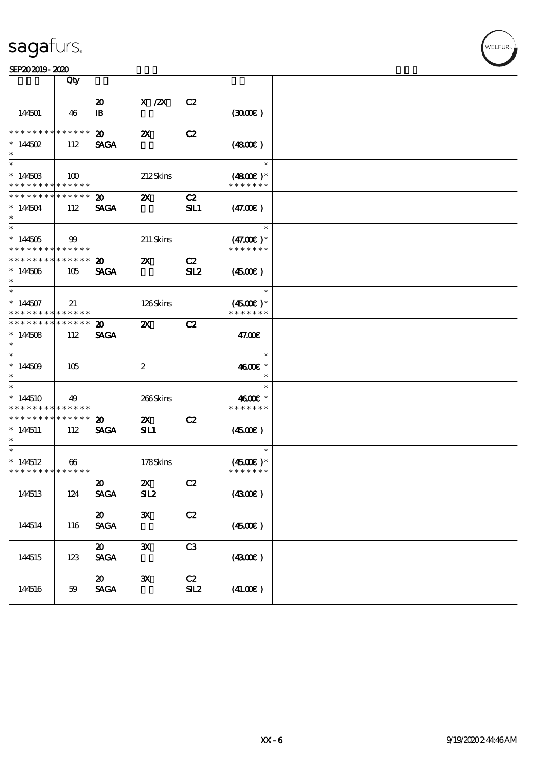#### SEP202019-2020 Production of the contract of the contract of the contract of the contract of the contract of the contract of the contract of the contract of the contract of the contract of the contract of the contract of t

|                                                       | Qty                               |                                                               |                           |                       |                                        |  |
|-------------------------------------------------------|-----------------------------------|---------------------------------------------------------------|---------------------------|-----------------------|----------------------------------------|--|
| 144501                                                | 46                                | $\boldsymbol{\mathfrak{D}}$<br>$\mathbf{B}$                   | $X$ / $ZX$                | C2                    | (300)                                  |  |
| * * * * * * * *<br>$* 144502$<br>$\ast$               | $* * * * * * *$<br>112            | $\boldsymbol{\mathfrak{D}}$<br><b>SAGA</b>                    | $\boldsymbol{\mathsf{z}}$ | C2                    | (480)                                  |  |
| $*14450B$<br>* * * * * * * *                          | 100<br>* * * * * *                |                                                               | 212Skins                  |                       | $\ast$<br>$(4800)$ *<br>* * * * * * *  |  |
| * * * * * * * *<br>$*144504$<br>$\ast$                | $* * * * * * *$<br>112            | $\boldsymbol{\mathfrak{D}}$<br><b>SAGA</b>                    | $\boldsymbol{\mathsf{z}}$ | C2<br><b>SIL1</b>     | (47.00)                                |  |
| $*144505$<br>* * * * * * * * <mark>* * * * * *</mark> | 99                                |                                                               | 211 Skins                 |                       | $\ast$<br>$(47.00)$ *<br>* * * * * * * |  |
| * * * * * * * *<br>$*144506$<br>$\ast$                | * * * * * *<br>105                | $\boldsymbol{\omega}$<br><b>SAGA</b>                          | $\boldsymbol{\mathsf{z}}$ | C2<br>SL <sub>2</sub> | $(4500\varepsilon)$                    |  |
| $\ast$<br>$*144507$<br>* * * * * * * * * * * * * * *  | 21                                |                                                               | 126Skins                  |                       | $\ast$<br>$(4500)$ *<br>* * * * * * *  |  |
| * * * * * * * * * * * * * *<br>$*144508$<br>$\ast$    | 112                               | $\boldsymbol{\mathfrak{D}}$<br><b>SAGA</b>                    | $\boldsymbol{\mathsf{Z}}$ | C2                    | 47.00€                                 |  |
| $*14509$<br>$\ast$                                    | 105                               |                                                               | $\boldsymbol{2}$          |                       | $\ast$<br>4600€ *<br>$\ast$            |  |
| $*144510$<br>* * * * * * * *                          | 49<br>* * * * * *                 |                                                               | 266Skins                  |                       | $\ast$<br>4600€ *<br>* * * * * * *     |  |
| * * * * * * * *<br>$*144511$<br>$\ast$                | $\ast\ast\ast\ast\ast\ast$<br>112 | 20<br><b>SAGA</b>                                             | $\mathbf{x}$<br>SL1       | C2                    | (450)                                  |  |
| $\ast$<br>$*144512$<br>* * * * * * * * * * * * * * *  | $\boldsymbol{\omega}$             |                                                               | 178Skins                  |                       | $\ast$<br>$(4500)$ *<br>* * * * * * *  |  |
| 144513                                                | 124                               | $\boldsymbol{\mathfrak{D}}$<br><b>SAGA</b>                    | $\mathbf{x}$<br>SL2       | C2                    | (4300)                                 |  |
| 144514                                                | 116                               | $\boldsymbol{\mathfrak{D}}$<br>$\operatorname{\mathsf{SAGA}}$ | $\mathbf{x}$              | C2                    | (4500)                                 |  |
| 144515                                                | 123                               | $\boldsymbol{\mathfrak{D}}$<br><b>SAGA</b>                    | $\mathbf{x}$              | C3                    | (4300)                                 |  |
| 144516                                                | 59                                | $\boldsymbol{\mathfrak{D}}$<br><b>SAGA</b>                    | $\mathbf{x}$              | C2<br>SL2             | (41.00)                                |  |

**VELFUR**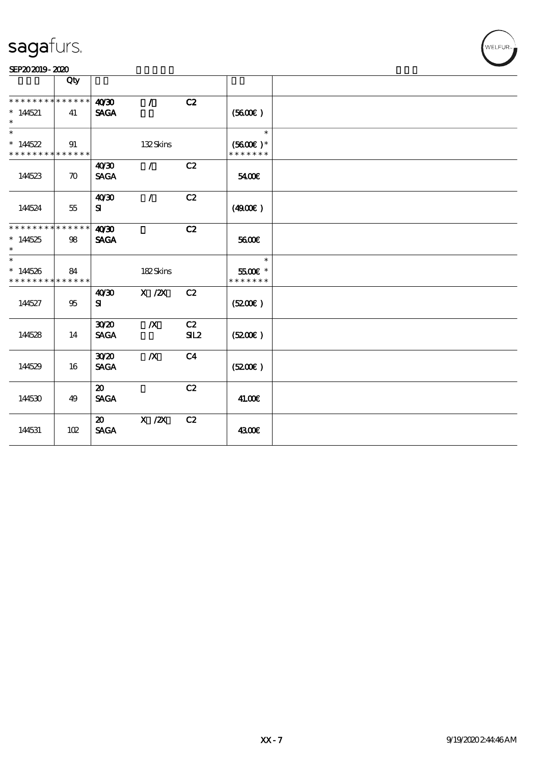### SEP202019-2020

|                                                    | Qty                |                                            |                                                                                                |                |                                       |  |
|----------------------------------------------------|--------------------|--------------------------------------------|------------------------------------------------------------------------------------------------|----------------|---------------------------------------|--|
| * * * * * * * *<br>$*144521$<br>$\ast$             | * * * * * *<br>41  | 40'30<br><b>SAGA</b>                       | $\mathcal{L}$                                                                                  | C2             | (5600)                                |  |
| $\ast$<br>$*14522$<br>* * * * * * * *              | 91<br>* * * * * *  |                                            | 132Skins                                                                                       |                | $\ast$<br>$(5600)$ *<br>* * * * * * * |  |
| 144523                                             | $\boldsymbol{\pi}$ | 40'30<br><b>SAGA</b>                       | $\mathcal{L}$                                                                                  | C2             | 5400€                                 |  |
| 144524                                             | 55                 | 40'30<br>${\bf s}$                         | $\sqrt{2}$                                                                                     | C2             | (4900)                                |  |
| * * * * * * * * * * * * * *<br>$*14525$<br>$\ast$  | $98\,$             | 40 <sup>30</sup><br><b>SAGA</b>            |                                                                                                | C2             | 5600E                                 |  |
| $\ast$<br>$*144526$<br>* * * * * * * * * * * * * * | 84                 |                                            | 182Skins                                                                                       |                | $\ast$<br>$5500$ £ *<br>* * * * * * * |  |
| 144527                                             | 95                 | 40'30<br>${\bf s}$                         | $\boldsymbol{\mathrm{X}}$ / <b><math>\boldsymbol{\mathrm{Z}}\boldsymbol{\mathrm{X}}</math></b> | C2             | (5200)                                |  |
| 144528                                             | 14                 | 30 <sup>20</sup><br><b>SAGA</b>            | $\boldsymbol{X}$                                                                               | C2<br>SL2      | (5200)                                |  |
| 144529                                             | 16                 | 3020<br><b>SAGA</b>                        | $\boldsymbol{X}$                                                                               | C <sub>4</sub> | (5200)                                |  |
| 144530                                             | 49                 | $\boldsymbol{\mathfrak{D}}$<br><b>SAGA</b> |                                                                                                | C2             | 41.00€                                |  |
| 144531                                             | 102                | $\boldsymbol{\mathfrak{D}}$<br><b>SAGA</b> | $X$ / $ZX$                                                                                     | C2             | 4300€                                 |  |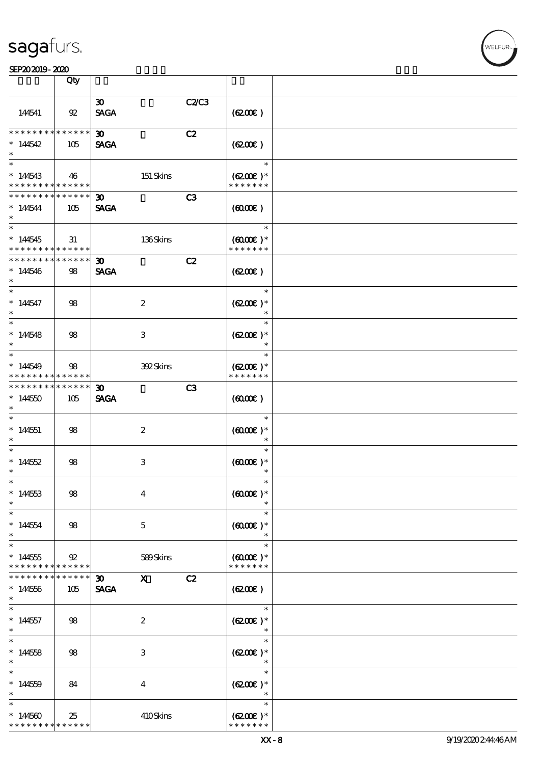|                                                        | Qty                   |                                            |                         |       |                                       |  |
|--------------------------------------------------------|-----------------------|--------------------------------------------|-------------------------|-------|---------------------------------------|--|
|                                                        |                       |                                            |                         |       |                                       |  |
| 144541                                                 | $92\,$                | $\boldsymbol{\mathfrak{D}}$<br><b>SAGA</b> |                         | C2/C3 | (620)                                 |  |
| * * * * * * * *                                        | * * * * * *           |                                            |                         |       |                                       |  |
| $*14542$<br>$\ast$                                     | 105                   | $\boldsymbol{\mathfrak{D}}$<br><b>SAGA</b> |                         | C2    | (6200)                                |  |
| $\ast$                                                 |                       |                                            |                         |       | $\ast$                                |  |
| $*14543$<br>* * * * * * * * <mark>* * * * * * *</mark> | 46                    |                                            | 151 Skins               |       | $(6200)$ *<br>* * * * * * *           |  |
| * * * * * * * *                                        | $* * * * * * *$       |                                            |                         |       |                                       |  |
| $*14544$<br>$\ast$                                     | 105                   | $\boldsymbol{\mathfrak{D}}$<br><b>SAGA</b> |                         | C3    | $(6000\varepsilon)$                   |  |
|                                                        |                       |                                            |                         |       | $\ast$                                |  |
| $*144545$<br>* * * * * * * *                           | 31<br>******          |                                            | 136Skins                |       | $(6000\varepsilon)*$<br>* * * * * * * |  |
| * * * * * * * *                                        | * * * * * *           | $\boldsymbol{\mathfrak{D}}$                |                         | C2    |                                       |  |
| $*144546$<br>$\ast$                                    | 98                    | <b>SAGA</b>                                |                         |       | (620)                                 |  |
| $\overline{\phantom{0}}$                               |                       |                                            |                         |       | $\ast$                                |  |
| $* 144547$<br>$\ast$                                   | 98                    |                                            | $\boldsymbol{2}$        |       | $(6200)$ *<br>$\ast$                  |  |
|                                                        |                       |                                            |                         |       | $\ast$                                |  |
| $*14548$<br>$\ast$                                     | 98                    |                                            | 3                       |       | $(6200)$ *<br>$\ast$                  |  |
| $\ast$                                                 |                       |                                            |                         |       | $\ast$                                |  |
| $*14549$<br>* * * * * * * *                            | 98<br>******          |                                            | 392Skins                |       | $(6200)$ *<br>* * * * * * *           |  |
| * * * * * * * *                                        | $* * * * * * *$       | $\boldsymbol{\mathfrak{D}}$                |                         | C3    |                                       |  |
| $*14450$<br>$\ast$                                     | 105                   | <b>SAGA</b>                                |                         |       | $(6000\varepsilon)$                   |  |
| $\ast$                                                 |                       |                                            |                         |       | $\ast$                                |  |
| $*144551$<br>$\ast$                                    | 98                    |                                            | $\boldsymbol{z}$        |       | $(6000\varepsilon)*$<br>$\ast$        |  |
| $\ast$                                                 |                       |                                            |                         |       | $\ast$                                |  |
| $*14552$<br>$\ast$                                     | 98                    |                                            | 3                       |       | $(6000\varepsilon)*$                  |  |
| $\ast$                                                 |                       |                                            |                         |       |                                       |  |
| $*144553$<br>$\ast$                                    | 98                    |                                            | $\boldsymbol{4}$        |       | $(0000\varepsilon)*$                  |  |
| $\ast$                                                 |                       |                                            |                         |       | $\ast$                                |  |
| $*144554$<br>$\ast$                                    | 98                    |                                            | $\mathbf 5$             |       | $(6000\varepsilon)*$<br>$\ast$        |  |
| $\ast$                                                 |                       |                                            |                         |       | $\ast$                                |  |
| $*144555$<br>* * * * * * * *                           | 92<br>$* * * * * * *$ |                                            | 589Skins                |       | $(6000\varepsilon)*$<br>* * * * * * * |  |
| * * * * * * *                                          | * * * * * *           | 30 <sub>o</sub>                            | $\mathbf{x}$            | C2    |                                       |  |
| $*144556$<br>$\ast$                                    | 105                   | <b>SAGA</b>                                |                         |       | (6200)                                |  |
| $\ast$                                                 |                       |                                            |                         |       | $\ast$                                |  |
| $*144557$<br>$\ast$                                    | 98                    |                                            | $\boldsymbol{z}$        |       | $(6200)$ *<br>$\ast$                  |  |
| $\ast$                                                 |                       |                                            |                         |       | $\ast$                                |  |
| $*144558$<br>$\ast$                                    | 98                    |                                            | 3                       |       | $(6200)$ *<br>$\ast$                  |  |
| $\ast$                                                 |                       |                                            |                         |       | $\ast$                                |  |
| $*144559$<br>$\ast$                                    | 84                    |                                            | $\overline{\mathbf{4}}$ |       | $(6200)$ *<br>$\ast$                  |  |
| $\ast$                                                 |                       |                                            |                         |       | $\ast$                                |  |
| $*14560$<br>* * * * * * * *                            | 25<br>* * * * * *     |                                            | 410Skins                |       | $(6200)$ *<br>* * * * * * *           |  |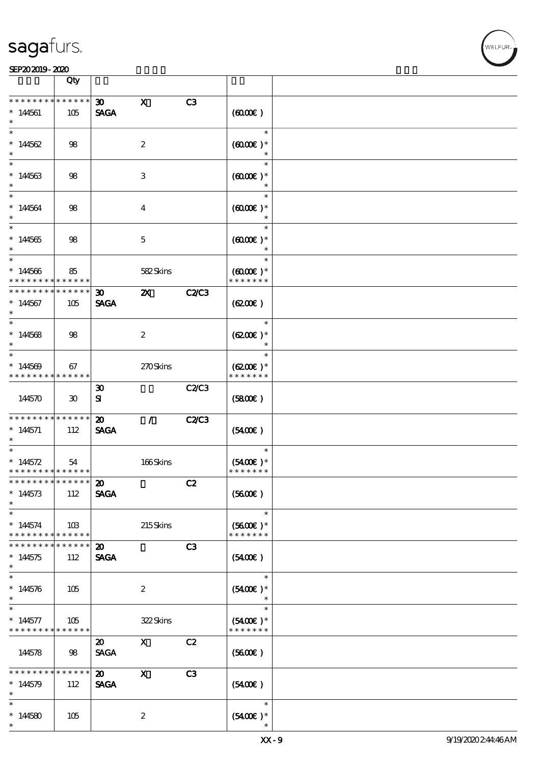|                                                                    | Qty                         |                                            |                           |              |                                                 |  |
|--------------------------------------------------------------------|-----------------------------|--------------------------------------------|---------------------------|--------------|-------------------------------------------------|--|
| * * * * * * * *                                                    | $******$                    |                                            |                           |              |                                                 |  |
| $*144561$<br>$\ast$                                                | 105                         | $\infty$<br><b>SAGA</b>                    | $\mathbf x$               | C3           | (6000)                                          |  |
| $\ast$<br>$*14562$<br>$\ast$                                       | 98                          |                                            | $\boldsymbol{2}$          |              | $\ast$<br>$(6000\varepsilon)*$<br>$\ast$        |  |
| $*$<br>$*144563$<br>$\ast$                                         | $98$                        |                                            | 3                         |              | $\ast$<br>$(6000\varepsilon)*$                  |  |
| $\ast$<br>$*144564$<br>$\ast$                                      | $98$                        |                                            | $\overline{\mathbf{4}}$   |              | $\ast$<br>$(6000\varepsilon)*$                  |  |
| $\overline{\ast}$<br>$*144565$<br>$\ast$                           | 98                          |                                            | $\mathbf 5$               |              | $\ast$<br>$(6000\varepsilon)*$<br>$\ast$        |  |
| $*$<br>$*144566$<br>* * * * * * * *                                | 85<br>* * * * * *           |                                            | 582Skins                  |              | $\ast$<br>$(6000\varepsilon)*$<br>* * * * * * * |  |
| * * * * * * * *<br>$*144567$<br>$\ast$                             | * * * * * *<br>105          | $\boldsymbol{\mathfrak{D}}$<br><b>SAGA</b> | $\boldsymbol{\mathsf{z}}$ | <b>C2/C3</b> | (6200)                                          |  |
| $\ast$<br>$*14568$<br>$\ast$                                       | 98                          |                                            | $\boldsymbol{2}$          |              | $\ast$<br>$(6200)$ *<br>$\ast$                  |  |
| $\ast$<br>$*14569$<br>* * * * * * * * * * * * * *                  | 67                          |                                            | 270Skins                  |              | $\ast$<br>$(6200)$ *<br>* * * * * * *           |  |
| 144570                                                             | $\boldsymbol{\mathfrak{D}}$ | $\boldsymbol{\mathfrak{D}}$<br>${\bf s}$   |                           | C2/C3        | (5800)                                          |  |
| * * * * * * * *<br>$* 144571$<br>$\ast$                            | * * * * * *<br>112          | $\boldsymbol{\mathbf{z}}$<br><b>SAGA</b>   | $\mathcal{L}$             | <b>C2/C3</b> | (5400)                                          |  |
| $\ast$<br>$* 144572$<br>* * * * * * * * <mark>* * * * * * *</mark> | 54                          |                                            | 166Skins                  |              | $\ast$<br>$(5400)$ *<br>* * * * * * *           |  |
| *************** 20<br>$*14573$<br>$\ast$                           | 112                         | <b>SAGA</b>                                |                           | C2           | (5600)                                          |  |
| $\ast$<br>$*144574$<br>* * * * * * * *                             | 10B<br>* * * * * *          |                                            | 215Skins                  |              | $\ast$<br>$(5600)$ *<br>* * * * * * *           |  |
| * * * * * * *<br>$*144575$<br>$\ast$                               | * * * * * *<br>112          | $\boldsymbol{\mathfrak{D}}$<br><b>SAGA</b> |                           | C3           | (5400)                                          |  |
| $\ast$<br>$*144576$<br>$\ast$                                      | 105                         |                                            | $\boldsymbol{z}$          |              | $\ast$<br>$(5400)$ *                            |  |
| $\ast$<br>$* 144577$<br>* * * * * * * *                            | 105<br>* * * * * *          |                                            | 322Skins                  |              | $\ast$<br>$(5400)$ *<br>* * * * * * *           |  |
| 144578                                                             | 98                          | $\boldsymbol{\mathfrak{D}}$<br><b>SAGA</b> | $\mathbf{x}$              | C2           | (5600)                                          |  |
| * * * * * * *<br>$*14579$<br>$\ast$                                | * * * * * *<br>112          | $\boldsymbol{\mathfrak{D}}$<br><b>SAGA</b> | $\boldsymbol{\mathrm{X}}$ | C3           | (5400)                                          |  |
| $\ast$<br>$*14580$<br>$\ast$                                       | 105                         |                                            | $\boldsymbol{2}$          |              | $\ast$<br>$(5400)$ *                            |  |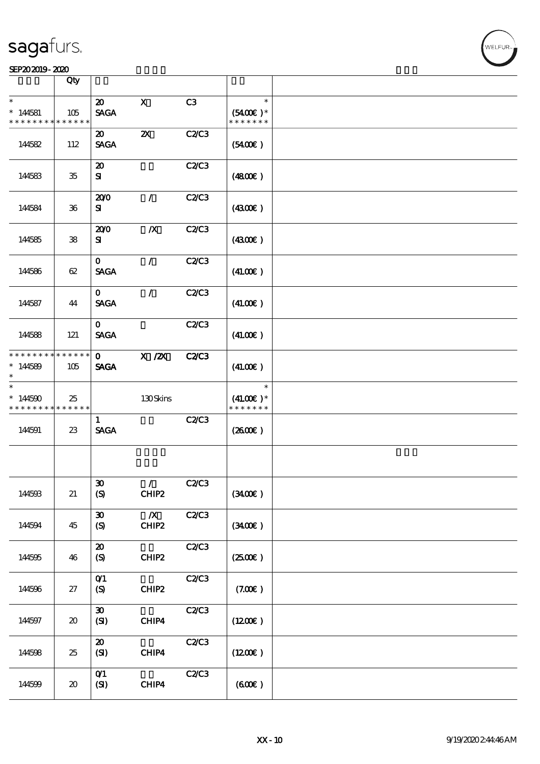### SEP202019-2020

|                                        | Qty                         |                                                 |                             |              |                                        |  |
|----------------------------------------|-----------------------------|-------------------------------------------------|-----------------------------|--------------|----------------------------------------|--|
| $\ast$<br>$*14581$<br>* * * * * * * *  | 105<br>* * * * * *          | $\boldsymbol{\mathfrak{D}}$<br><b>SAGA</b>      | $\mathbf{x}$                | C3           | $\ast$<br>$(5400)$ *<br>* * * * * * *  |  |
| 144582                                 | 112                         | $\boldsymbol{\mathfrak{D}}$<br><b>SAGA</b>      | $\boldsymbol{\mathsf{z}}$   | C2/C3        | (5400)                                 |  |
| 144583                                 | $35\,$                      | $\boldsymbol{\mathbf{z}}$<br>${\bf s}$          |                             | C2/C3        | (480)                                  |  |
| 144584                                 | $36\,$                      | 200<br>${\bf s}$                                | $\mathcal{L}$               | C2/C3        | (430E)                                 |  |
| 144585                                 | 38                          | 200<br>${\bf s}$                                | $\boldsymbol{X}$            | C2/C3        | (4300)                                 |  |
| 144586                                 | 62                          | $\mathbf{O}$<br><b>SAGA</b>                     | $\mathcal{L}$               | C2C3         | (41.00)                                |  |
| 144587                                 | 44                          | $\mathbf{o}$<br><b>SAGA</b>                     | $\mathcal{L}$               | C2/C3        | (41.00)                                |  |
| 144588                                 | 121                         | $\mathbf{O}$<br><b>SAGA</b>                     |                             | C2C3         | (41.00)                                |  |
| * * * * * * * *<br>$*144589$<br>$\ast$ | ******<br>105               | $\mathbf{o}$<br><b>SAGA</b>                     | $X$ / $ZX$                  | <b>C2/C3</b> | (41.00)                                |  |
| $\ast$<br>$*144590$<br>* * * * * * * * | 25<br>* * * * * *           |                                                 | 130Skins                    |              | $\ast$<br>$(41.00)$ *<br>* * * * * * * |  |
| 144591                                 | $23\,$                      | $\mathbf{1}$<br><b>SAGA</b>                     |                             | C2/C3        | $(2600\varepsilon)$                    |  |
|                                        |                             |                                                 |                             |              |                                        |  |
| 144593                                 | 21                          | $\pmb{\mathfrak{D}}$<br>(S)                     | $\mathcal{L}$<br>CHIP2      | C2/C3        | (3400)                                 |  |
| 144594                                 | 45                          | $\boldsymbol{\mathfrak{D}}$<br>$\boldsymbol{S}$ | $\boldsymbol{X}$<br>$CHIP2$ | C2C3         | (3400)                                 |  |
| 144595                                 | 46                          | $\boldsymbol{\mathsf{20}}$<br>(S)               | CHIP2                       | C2C3         | (2500)                                 |  |
| 144596                                 | 27                          | O(1)<br>(S)                                     | CHIP2                       | C2C3         | (7.00)                                 |  |
| 144597                                 | $\boldsymbol{\mathfrak{D}}$ | $\boldsymbol{\mathfrak{D}}$<br>(SI)             | ${\rm CHIP4}$               | C2C3         | (1200E)                                |  |
|                                        |                             | $\boldsymbol{\mathfrak{D}}$                     |                             | C2C3         |                                        |  |
| 144598                                 | $25\,$                      | (SI)                                            | CHIP4                       |              | (1200E)                                |  |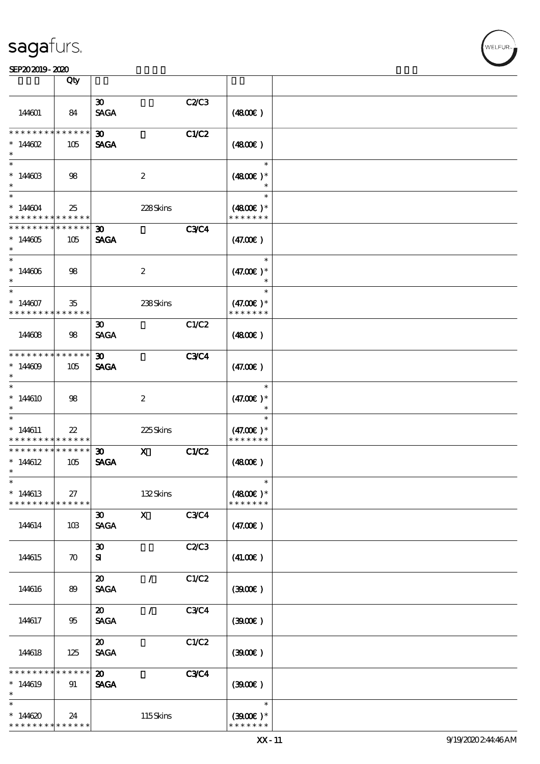|                                    | Qty                        |                                            |                  |              |                              |  |
|------------------------------------|----------------------------|--------------------------------------------|------------------|--------------|------------------------------|--|
|                                    |                            | $\boldsymbol{\mathfrak{D}}$                |                  | C2/C3        |                              |  |
| 144601                             | 84                         | <b>SAGA</b>                                |                  |              | (480E)                       |  |
| * * * * * * * *                    | * * * * * *                | 30 <sub>o</sub>                            |                  | <b>C1/C2</b> |                              |  |
| $* 14602$                          | 105                        | <b>SAGA</b>                                |                  |              | (4800)                       |  |
| $\ast$                             |                            |                                            |                  |              | $\ast$                       |  |
| $*14460B$<br>$\ast$                | 98                         |                                            | $\boldsymbol{2}$ |              | $(4800)$ *                   |  |
| $\overline{\ast}$                  |                            |                                            |                  |              | $\ast$                       |  |
| $*144604$<br>* * * * * * * *       | 25<br>* * * * * *          |                                            | 228Skins         |              | $(4800)$ *<br>* * * * * * *  |  |
| * * * * * * * *                    | * * * * * *                | $\boldsymbol{\mathfrak{D}}$                |                  | <b>C3C4</b>  |                              |  |
| $*144605$<br>$\ast$                | 105                        | <b>SAGA</b>                                |                  |              | (47.00)                      |  |
| $\ast$                             |                            |                                            |                  |              | $\ast$                       |  |
| $*144606$<br>$\ast$                | 98                         |                                            | $\boldsymbol{z}$ |              | $(47.00)$ *<br>$\ast$        |  |
| $\ast$                             |                            |                                            |                  |              | $\ast$                       |  |
| $*144607$<br>* * * * * * * *       | 35<br>* * * * * *          |                                            | 238Skins         |              | $(47.00)$ *<br>* * * * * * * |  |
|                                    |                            | $\boldsymbol{\mathfrak{D}}$                |                  | C1/C2        |                              |  |
| 144608                             | 98                         | <b>SAGA</b>                                |                  |              | (4800)                       |  |
| * * * * * * * *                    | * * * * * *                | $\boldsymbol{\mathfrak{D}}$                |                  | <b>C3C4</b>  |                              |  |
| $*14609$<br>$\ast$                 | 105                        | <b>SAGA</b>                                |                  |              | (47.00)                      |  |
| $\ast$                             |                            |                                            |                  |              | $\ast$                       |  |
| $*14610$<br>$\ast$                 | 98                         |                                            | $\boldsymbol{2}$ |              | $(47.00)$ *                  |  |
| $\ast$                             |                            |                                            |                  |              | $\ast$                       |  |
| $* 144611$                         | $2\!2$                     |                                            | 225Skins         |              | $(47.00)$ *<br>* * * * * * * |  |
| * * * * * * * *<br>* * * * * * * * | * * * * * *<br>* * * * * * |                                            |                  |              |                              |  |
| $*144612$<br>$\ast$                | 105                        | $\boldsymbol{\mathfrak{D}}$<br><b>SAGA</b> | $\mathbf{x}$     | C1/C2        | (480)                        |  |
| $\ast$                             |                            |                                            |                  |              | $\ast$                       |  |
| $*144613$<br>* * * * * * * *       | 27<br>* * * * * *          |                                            | 132Skins         |              | $(4800)$ *<br>* * * * * * *  |  |
|                                    |                            | $\boldsymbol{\mathfrak{D}}$                | $\mathbf{x}$     | C3C4         |                              |  |
| 144614                             | 10B                        | <b>SAGA</b>                                |                  |              | (47.00)                      |  |
|                                    |                            | $\boldsymbol{\mathfrak{D}}$                |                  | C2/C3        |                              |  |
| 144615                             | $\boldsymbol{\pi}$         | ${\bf s}$                                  |                  |              | (41.00)                      |  |
|                                    |                            | $\boldsymbol{\mathfrak{D}}$                | $\prime$         | C1/C2        |                              |  |
| 144616                             | 89                         | <b>SAGA</b>                                |                  |              | (300)                        |  |
|                                    |                            | $\boldsymbol{\mathfrak{D}}$                | $\mathcal{L}$    | C3C4         |                              |  |
| 144617                             | 95                         | <b>SAGA</b>                                |                  |              | (300)                        |  |
|                                    |                            | $\boldsymbol{\mathfrak{D}}$                |                  | C1/C2        |                              |  |
| 144618                             | 125                        | <b>SAGA</b>                                |                  |              | (300)                        |  |
| * * * * * *                        | * * * * * *                | $\boldsymbol{\mathfrak{D}}$                |                  | <b>C3C4</b>  |                              |  |
| $*14619$                           | 91                         | <b>SAGA</b>                                |                  |              | (300)                        |  |
| $\ast$                             |                            |                                            |                  |              |                              |  |
| $\ast$                             |                            |                                            |                  |              | $\ast$                       |  |
| $*14620$<br>* * * * * * * *        | 24<br>* * * * * *          |                                            | $115S$ kins      |              | $(3900)$ *<br>* * * * * * *  |  |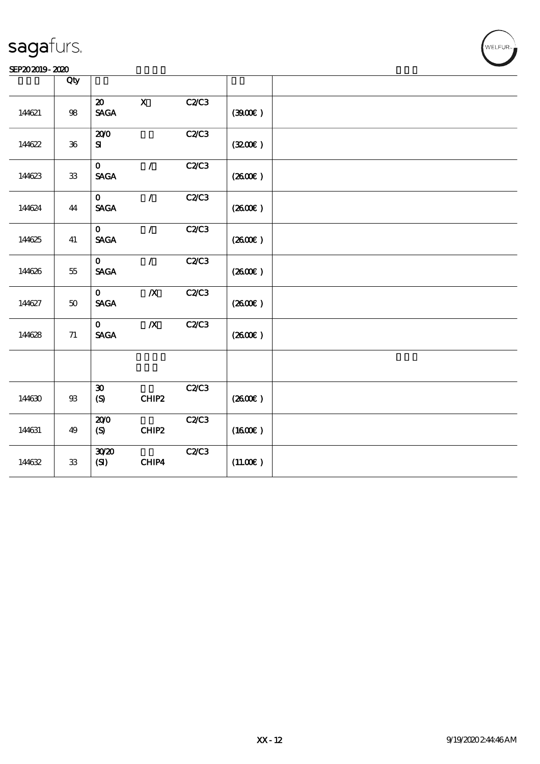|        | Qty             |                                            |                  |              |                     |  |
|--------|-----------------|--------------------------------------------|------------------|--------------|---------------------|--|
| 144621 | ${\bf 98}$      | $\boldsymbol{\mathfrak{D}}$<br><b>SAGA</b> | $\mathbf X$      | C2C3         | (300)               |  |
| 144622 | ${\bf 36}$      | 200<br>${\bf s}$                           |                  | C2C3         | (320)               |  |
| 14623  | ${\bf 3}$       | $\mathbf{O}$<br><b>SAGA</b>                | $\mathcal{L}$    | C2C3         | (260E)              |  |
| 144624 | 44              | $\mathbf{O}$<br><b>SAGA</b>                | $\mathcal{L}$    | C2/C3        | (2600)              |  |
| 144625 | 41              | $\mathbf{O}$<br><b>SAGA</b>                | $\mathcal{L}$    | C2C3         | (260E)              |  |
| 144626 | $5\!5$          | $\mathbf{o}$<br><b>SAGA</b>                | $\mathcal{L}$    | C2C3         | $(2600\varepsilon)$ |  |
| 144627 | $5\!\mathrm{O}$ | $\mathbf{o}$<br><b>SAGA</b>                | $\pmb{X}$        | <b>C2/C3</b> | (260E)              |  |
| 144628 | $71\,$          | $\mathbf{O}$<br><b>SAGA</b>                | $\boldsymbol{X}$ | C2C3         | (2600)              |  |
|        |                 |                                            |                  |              |                     |  |
| 144630 | ${\mathfrak B}$ | $\boldsymbol{\mathfrak{D}}$<br>(S)         | CHIP2            | C2C3         | (260E)              |  |
| 144631 | 49              | 200<br>(S)                                 | CHIP2            | C2C3         | (1600E)             |  |
| 144632 | ${\bf 33}$      | 3020<br>(SI)                               | CHIP4            | C2C3         | $(11.00\epsilon)$   |  |

WELFUR-<br>
WELFUR-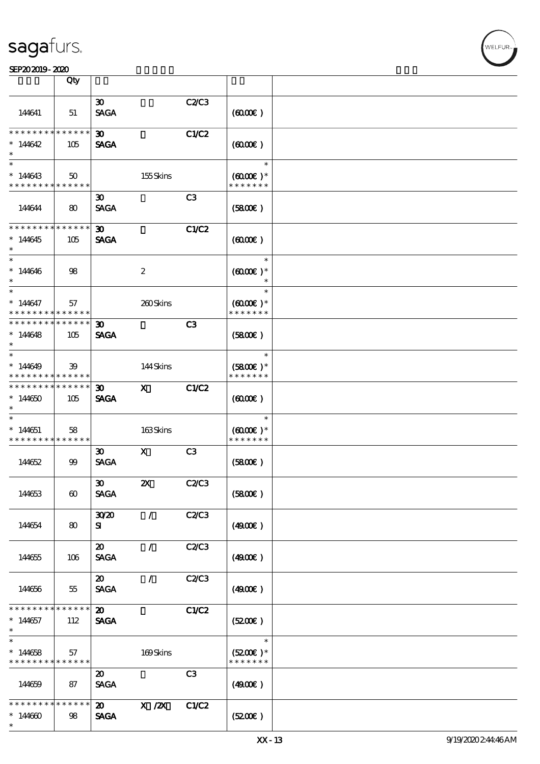|                                                         | Qty                        |                                            |                           |                |                                       |  |
|---------------------------------------------------------|----------------------------|--------------------------------------------|---------------------------|----------------|---------------------------------------|--|
|                                                         |                            | $\boldsymbol{\mathfrak{D}}$                |                           | C2/C3          |                                       |  |
| 144641                                                  | 51                         | <b>SAGA</b>                                |                           |                | (6000)                                |  |
| * * * * * * * *                                         | $\ast\ast\ast\ast\ast\ast$ | 30 <sub>1</sub>                            |                           | C1/C2          |                                       |  |
| $*14642$                                                | 105                        | <b>SAGA</b>                                |                           |                | (600)                                 |  |
| $\overline{\phantom{0}}$                                |                            |                                            |                           |                | $\ast$                                |  |
| $*14643$<br>* * * * * * * * <mark>* * * * * *</mark>    | $50^{\circ}$               |                                            | 155Skins                  |                | $(6000\varepsilon)*$<br>* * * * * * * |  |
|                                                         |                            | $\boldsymbol{\mathfrak{D}}$                |                           | C <sub>3</sub> |                                       |  |
| 144644                                                  | 80                         | <b>SAGA</b>                                |                           |                | (5800)                                |  |
| * * * * * * * * * * * * * * *                           |                            | 30 <sub>o</sub>                            |                           | C1/C2          |                                       |  |
| $*144645$<br>$\ast$                                     | 105                        | <b>SAGA</b>                                |                           |                | (600)                                 |  |
| $\ast$                                                  |                            |                                            |                           |                | $\ast$                                |  |
| $*14646$<br>$\ast$                                      | 98                         |                                            | $\boldsymbol{2}$          |                | $(6000\varepsilon)*$<br>$\ast$        |  |
| $\ast$                                                  |                            |                                            |                           |                | $\ast$                                |  |
| $*14647$<br>* * * * * * * * <mark>* * * * * *</mark>    | 57                         |                                            | 260Skins                  |                | $(6000\varepsilon)*$<br>* * * * * * * |  |
| * * * * * * * * <mark>* * * * * * *</mark>              |                            | 30 <sup>2</sup>                            |                           | C <sub>3</sub> |                                       |  |
| $*14648$<br>$\ast$                                      | 105                        | <b>SAGA</b>                                |                           |                | (SBOE)                                |  |
| $*$                                                     |                            |                                            |                           |                | $\ast$                                |  |
| $*14649$<br>* * * * * * * * <mark>* * * * * *</mark>    | 39                         |                                            | 144Skins                  |                | $(5800)$ *<br>* * * * * * *           |  |
| * * * * * * * *                                         | $* * * * * * *$            | $\boldsymbol{\mathfrak{D}}$                | $\mathbf{x}$              | C1/C2          |                                       |  |
| $*14650$<br>$\ast$                                      | 105                        | <b>SAGA</b>                                |                           |                | (600)                                 |  |
| $\ast$                                                  |                            |                                            |                           |                | $\ast$                                |  |
| $*14651$                                                | 58                         |                                            | 163Skins                  |                | $(6000\varepsilon)*$                  |  |
| * * * * * * * * * * * * * *                             |                            |                                            |                           |                | * * * * * * *                         |  |
| 144652                                                  | 99                         | $\boldsymbol{\mathfrak{D}}$<br><b>SAGA</b> | $\mathbf{x}$              | C3             | (5800)                                |  |
|                                                         |                            | $\boldsymbol{\mathfrak{D}}$                | $\boldsymbol{\mathsf{Z}}$ | C2/C3          |                                       |  |
| 144653                                                  | $\boldsymbol{\omega}$      | <b>SAGA</b>                                |                           |                | (5800)                                |  |
|                                                         |                            | 30 <sup>20</sup>                           | $\sqrt{2}$                | C2/C3          |                                       |  |
| 144654                                                  | 80                         | ${\bf s}$                                  |                           |                | (490)                                 |  |
|                                                         |                            | $\boldsymbol{\mathfrak{D}}$                | $\sqrt{2}$                | <b>C2/C3</b>   |                                       |  |
| 144655                                                  | 106                        | <b>SAGA</b>                                |                           |                | (4900)                                |  |
|                                                         |                            | $\boldsymbol{\mathfrak{D}}$                | $\prime$                  | C2/C3          |                                       |  |
| 144656                                                  | 55                         | <b>SAGA</b>                                |                           |                | (4900)                                |  |
| * * * * * * * *                                         | * * * * * *                | $\boldsymbol{\mathfrak{D}}$                |                           | C1/C2          |                                       |  |
| $*144657$<br>$\ast$                                     | 112                        | <b>SAGA</b>                                |                           |                | (5200)                                |  |
| $\ast$                                                  |                            |                                            |                           |                | $\ast$                                |  |
| $*144658$<br>* * * * * * * * <mark>* * * * * * *</mark> | 57                         |                                            | 169Skins                  |                | $(5200)$ *<br>* * * * * * *           |  |
|                                                         |                            | 20                                         |                           | C <sub>3</sub> |                                       |  |
| 144659                                                  | 87                         | <b>SAGA</b>                                |                           |                | (4900)                                |  |
| * * * * * *<br>∗                                        | * * * * * *                | 20                                         | $X$ / $ZX$                | C1/C2          |                                       |  |
| $*144600$                                               | 98                         | <b>SAGA</b>                                |                           |                | (5200)                                |  |
| $\ast$                                                  |                            |                                            |                           |                |                                       |  |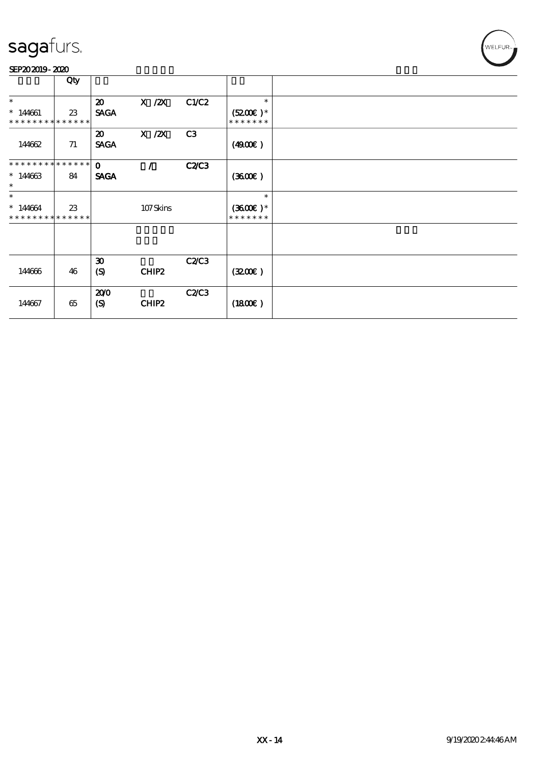

|                                                    | Qty |                                            |                   |       |                                              |  |
|----------------------------------------------------|-----|--------------------------------------------|-------------------|-------|----------------------------------------------|--|
| $\ast$<br>$*144661$<br>* * * * * * * * * * * * * * | 23  | $\boldsymbol{\mathfrak{D}}$<br><b>SACA</b> | $X$ / $ZX$        | C1/C2 | $\ast$<br>$(5200\text{E})*$<br>* * * * * * * |  |
| 144662                                             | 71  | $\boldsymbol{\mathfrak{D}}$<br><b>SAGA</b> | $X$ / $ZX$        | C3    | (4900)                                       |  |
| **************<br>$*14663$<br>$\ast$               | 84  | $\mathbf{o}$<br><b>SAGA</b>                | $\mathcal{L}$     | C2C3  | (360)                                        |  |
| $\ast$<br>$*14664$<br>* * * * * * * * * * * * * *  | 23  |                                            | 107Skins          |       | $\ast$<br>$(3600)$ *<br>* * * * * * *        |  |
|                                                    |     |                                            |                   |       |                                              |  |
| 144666                                             | 46  | $\boldsymbol{\mathfrak{D}}$<br>(S)         | CHIP <sub>2</sub> | C2C3  | (3200)                                       |  |
| 144667                                             | 65  | 200<br>(S)                                 | CHIP2             | C2C3  | (1800)                                       |  |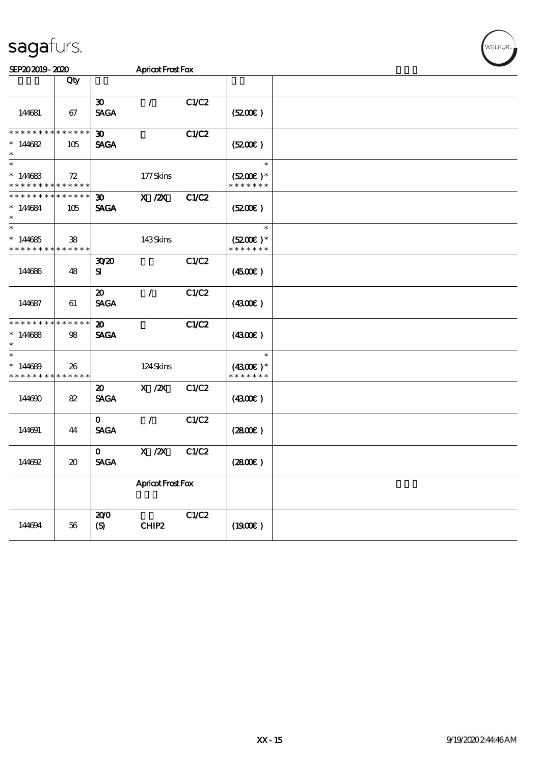| <b>Apricot Frost Fox</b> |  |  |
|--------------------------|--|--|

| SEP202019-2020                                    |                                     | Apricot Frost Fox                          |                   |       |                                       |  |
|---------------------------------------------------|-------------------------------------|--------------------------------------------|-------------------|-------|---------------------------------------|--|
|                                                   | Qty                                 |                                            |                   |       |                                       |  |
| 144681                                            | 67                                  | $\boldsymbol{\mathfrak{D}}$<br><b>SAGA</b> | $\sqrt{2}$        | C1/C2 | (5200)                                |  |
| * * * * * * * *                                   | * * * * * *                         | $\boldsymbol{\mathfrak{D}}$                |                   | C1/C2 |                                       |  |
| $*14682$<br>$\ast$                                | 105                                 | <b>SAGA</b>                                |                   |       | (5200)                                |  |
| $\ast$                                            |                                     |                                            |                   |       | $\ast$                                |  |
| $*14683$<br>* * * * * * * * * * * * * *           | 72                                  |                                            | 177Skins          |       | $(5200)$ *<br>* * * * * * *           |  |
| * * * * * * * *<br>$*144684$<br>$\ast$            | $******$<br>105                     | $\boldsymbol{\mathfrak{D}}$<br><b>SAGA</b> | $X$ / $ZX$        | C1/C2 | (S200E)                               |  |
| $\ast$<br>$*14685$<br>* * * * * * * * * * * * * * | 38                                  |                                            | 143Skins          |       | $\ast$<br>$(5200)$ *<br>* * * * * * * |  |
| 144686                                            | 48                                  | 3020<br>${\bf s}$                          |                   | C1/C2 | (450E)                                |  |
| 144687                                            | 61                                  | $\boldsymbol{\mathfrak{D}}$<br><b>SAGA</b> | $\mathcal{L}$     | C1/C2 | (4300)                                |  |
| * * * * * * * * * * * * * *<br>$*14688$<br>$\ast$ | 98                                  | $\boldsymbol{\mathfrak{D}}$<br><b>SAGA</b> |                   | C1/C2 | (430)                                 |  |
| $\ast$<br>$*14689$<br>* * * * * * * * * * * * * * | 26                                  |                                            | 124Skins          |       | $\ast$<br>$(4300)$ *<br>* * * * * * * |  |
| 144690                                            | 82                                  | $\boldsymbol{\mathfrak{D}}$<br><b>SAGA</b> | $X \, /ZX$        | C1/C2 | (430E)                                |  |
| 144691                                            | 44                                  | $\mathbf{O}$<br><b>SAGA</b>                | $\mathcal{L}$     | C1/C2 | (2800)                                |  |
| 144692                                            | $\boldsymbol{\boldsymbol{\lambda}}$ | $\mathbf{O}$<br><b>SAGA</b>                | $X$ / $ZX$        | C1/C2 | (280)                                 |  |
|                                                   |                                     |                                            | Apricot Frost Fox |       |                                       |  |
| 144694                                            | $5\!6$                              | 200<br>$\boldsymbol{S}$                    | CHIP2             | C1/C2 | (1900E)                               |  |

WELFUR<sub>™</sub>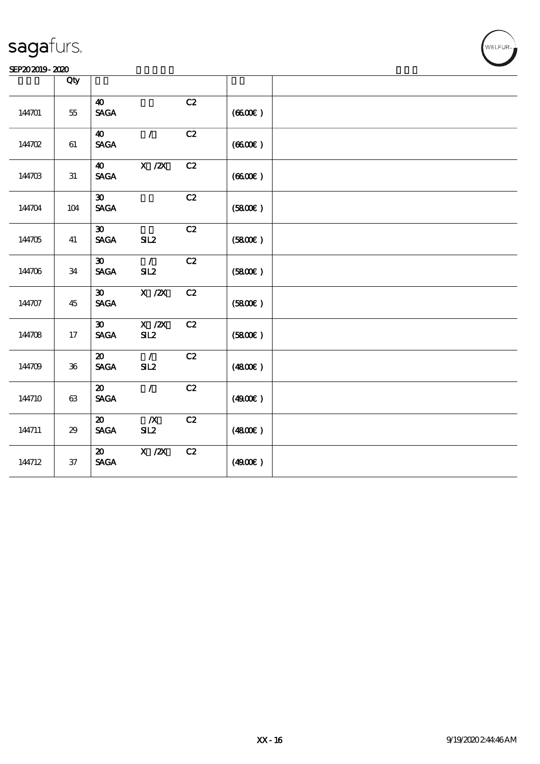### SEP202019-2020

|        | Qty    |                                                               |                         |                 |        |  |
|--------|--------|---------------------------------------------------------------|-------------------------|-----------------|--------|--|
| 144701 | $55\,$ | $\boldsymbol{\omega}$<br><b>SAGA</b>                          |                         | C2              | (6600) |  |
| 144702 | $61\,$ | $\boldsymbol{\omega}$<br><b>SAGA</b>                          | $\mathcal{L}$           | $\overline{C2}$ | (6600) |  |
| 144703 | 31     | $\boldsymbol{\omega}$<br><b>SAGA</b>                          | $X$ / $ZX$              | C2              | (6600) |  |
| 144704 | 104    | $\boldsymbol{\mathfrak{D}}$<br><b>SAGA</b>                    |                         | C2              | (5800) |  |
| 144705 | 41     | $\boldsymbol{\mathfrak{D}}$<br><b>SAGA</b>                    | SL2                     | C2              | (5800) |  |
| 144706 | 34     | $\boldsymbol{\mathfrak{D}}$<br>$\operatorname{\mathsf{SAGA}}$ | $\mathcal{L}$<br>SL2    | C2              | (5800) |  |
| 144707 | 45     | $\boldsymbol{\mathfrak{D}}$<br><b>SAGA</b>                    | $X$ / $ZX$              | C2              | (5800) |  |
| 144708 | $17\,$ | $\boldsymbol{\mathfrak{D}}$<br><b>SAGA</b>                    | $X$ / $ZX$<br>SL2       | C2              | (5800) |  |
| 144709 | $36\,$ | $\boldsymbol{\mathfrak{D}}$<br>$\operatorname{\mathsf{SAGA}}$ | $\mathcal{L}$<br>SL2    | C2              | (4800) |  |
| 144710 | $63\,$ | $\boldsymbol{\mathsf{20}}$<br>$\ensuremath{\mathsf{SAGA}}$    | $\mathcal{L}$           | C2              | (4900) |  |
| 144711 | 29     | $\boldsymbol{\mathsf{20}}$<br><b>SAGA</b>                     | $\boldsymbol{X}$<br>SL2 | C2              | (4800) |  |
| 144712 | $3\!7$ | $\boldsymbol{\mathfrak{D}}$<br><b>SAGA</b>                    | $X$ / $ZX$              | C2              | (4900) |  |

**VELFUR**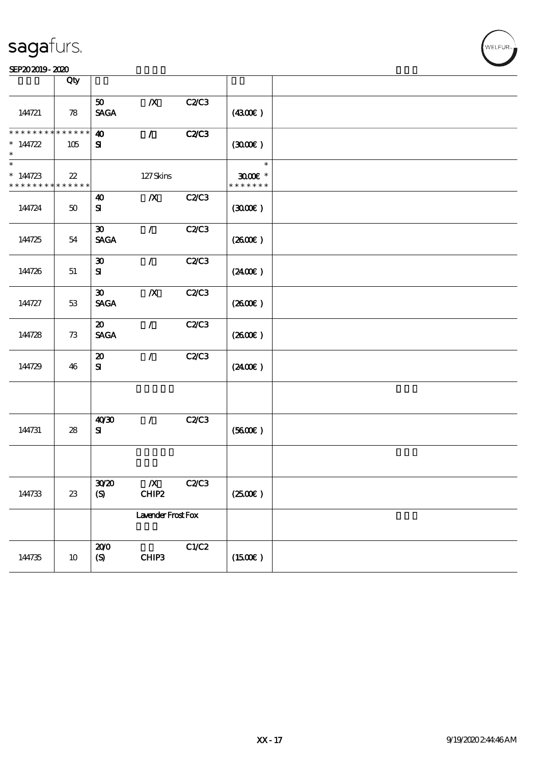### SEP202019-2020

|                                                                    | Qty    |                                            |                           |              |                                       |  |
|--------------------------------------------------------------------|--------|--------------------------------------------|---------------------------|--------------|---------------------------------------|--|
| 144721                                                             | 78     | 50 <sub>1</sub><br><b>SAGA</b>             | $\boldsymbol{X}$          | C2C3         | (4300)                                |  |
| * * * * * * * * * * * * * * *<br>$* 144722$<br>$\ast$              | 105    | $\boldsymbol{\omega}$<br>${\bf s}$         | $\mathcal{L}$             | <b>C2/C3</b> | (300)                                 |  |
| $\ast$<br>$* 144723$<br>* * * * * * * * <mark>* * * * * * *</mark> | $22\,$ |                                            | $127$ Skins               |              | $\ast$<br>$3000$ $*$<br>* * * * * * * |  |
| 144724                                                             | $50\,$ | 40<br>${\bf s}$                            | $\boldsymbol{X}$          | <b>C2/C3</b> | (300)                                 |  |
| 144725                                                             | 54     | $\boldsymbol{\mathfrak{D}}$<br><b>SAGA</b> | $\mathcal{T}$             | <b>C2/C3</b> | (2600E)                               |  |
| 144726                                                             | 51     | $\boldsymbol{\mathfrak{D}}$<br>${\bf s}$   | $\mathcal{L}$             | C2C3         | $(2400\varepsilon)$                   |  |
| 144727                                                             | 53     | $\boldsymbol{\mathfrak{D}}$<br><b>SAGA</b> | $\boldsymbol{X}$          | C2C3         | $(2600\varepsilon)$                   |  |
| 144728                                                             | 73     | $\boldsymbol{\mathfrak{D}}$<br><b>SAGA</b> | $\mathcal{F}$             | <b>C2/C3</b> | $(2600\varepsilon)$                   |  |
| 144729                                                             | 46     | $\boldsymbol{\mathbf{z}}$<br>${\bf s}$     | $\mathcal{L}$             | C2C3         | (2400)                                |  |
|                                                                    |        |                                            |                           |              |                                       |  |
| 144731                                                             | 28     | 40'30<br>${\bf s}$                         | $\mathcal{T}$             | <b>C2/C3</b> | (5600)                                |  |
|                                                                    |        |                                            |                           |              |                                       |  |
| 144733                                                             | $23\,$ | 3020<br>$\boldsymbol{S}$                   | $\boldsymbol{X}$<br>CHIP2 | <b>C2/C3</b> | (2500)                                |  |
|                                                                    |        |                                            | Lavender Frost Fox        |              |                                       |  |
| 144735                                                             | $10\,$ | 200<br>(S)                                 | CHIP3                     | C1/C2        | $(1500\varepsilon)$                   |  |

WELFUR-<br>
.